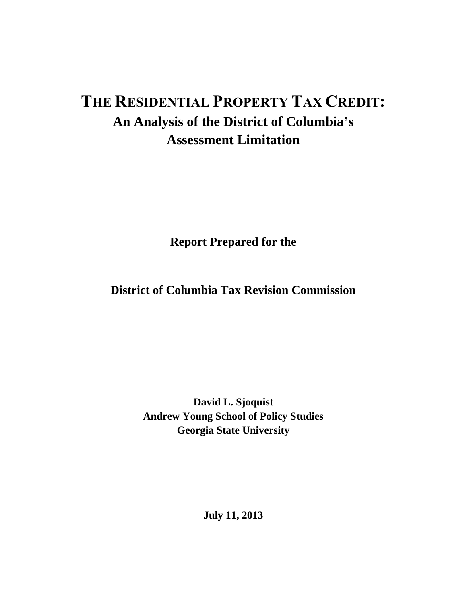# **THE RESIDENTIAL PROPERTY TAX CREDIT: An Analysis of the District of Columbia's Assessment Limitation**

**Report Prepared for the**

**District of Columbia Tax Revision Commission**

**David L. Sjoquist Andrew Young School of Policy Studies Georgia State University**

**July 11, 2013**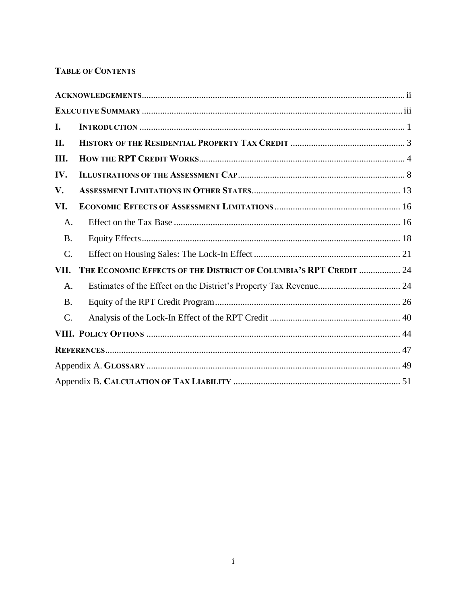# **TABLE OF CONTENTS**

| I.              |                                                                   |  |
|-----------------|-------------------------------------------------------------------|--|
| II.             |                                                                   |  |
| Ш.              |                                                                   |  |
| IV.             |                                                                   |  |
| V.              |                                                                   |  |
| VI.             |                                                                   |  |
| A.              |                                                                   |  |
| <b>B.</b>       |                                                                   |  |
| C.              |                                                                   |  |
| VII.            | THE ECONOMIC EFFECTS OF THE DISTRICT OF COLUMBIA'S RPT CREDIT  24 |  |
| A.              |                                                                   |  |
| <b>B.</b>       |                                                                   |  |
| $\mathcal{C}$ . |                                                                   |  |
|                 |                                                                   |  |
|                 |                                                                   |  |
|                 |                                                                   |  |
|                 |                                                                   |  |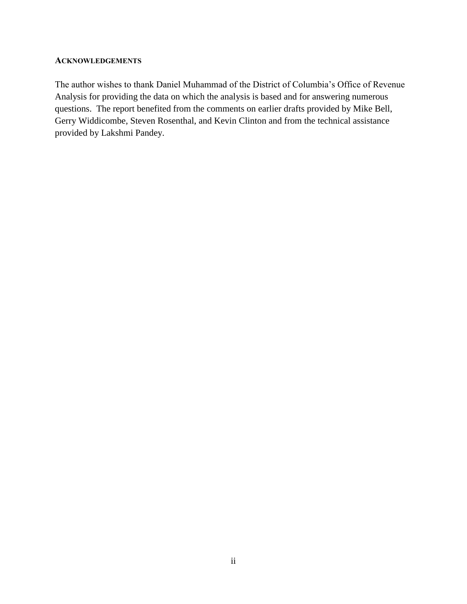#### <span id="page-2-0"></span>**ACKNOWLEDGEMENTS**

The author wishes to thank Daniel Muhammad of the District of Columbia's Office of Revenue Analysis for providing the data on which the analysis is based and for answering numerous questions. The report benefited from the comments on earlier drafts provided by Mike Bell, Gerry Widdicombe, Steven Rosenthal, and Kevin Clinton and from the technical assistance provided by Lakshmi Pandey.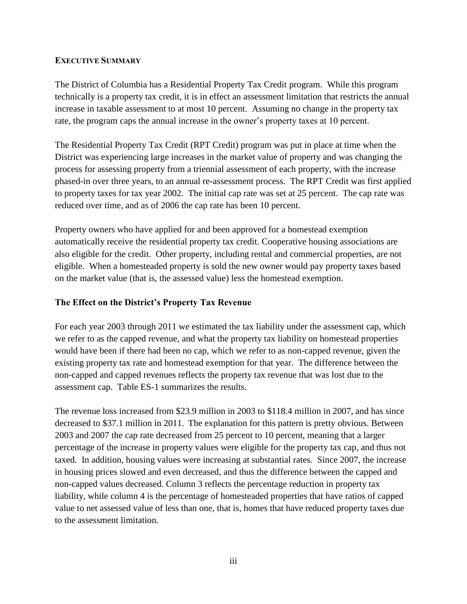## <span id="page-3-0"></span>**EXECUTIVE SUMMARY**

The District of Columbia has a Residential Property Tax Credit program. While this program technically is a property tax credit, it is in effect an assessment limitation that restricts the annual increase in taxable assessment to at most 10 percent. Assuming no change in the property tax rate, the program caps the annual increase in the owner's property taxes at 10 percent.

The Residential Property Tax Credit (RPT Credit) program was put in place at time when the District was experiencing large increases in the market value of property and was changing the process for assessing property from a triennial assessment of each property, with the increase phased-in over three years, to an annual re-assessment process. The RPT Credit was first applied to property taxes for tax year 2002. The initial cap rate was set at 25 percent. The cap rate was reduced over time, and as of 2006 the cap rate has been 10 percent.

Property owners who have applied for and been approved for a homestead exemption automatically receive the residential property tax credit. Cooperative housing associations are also eligible for the credit. Other property, including rental and commercial properties, are not eligible. When a homesteaded property is sold the new owner would pay property taxes based on the market value (that is, the assessed value) less the homestead exemption.

## **The Effect on the District's Property Tax Revenue**

For each year 2003 through 2011 we estimated the tax liability under the assessment cap, which we refer to as the capped revenue, and what the property tax liability on homestead properties would have been if there had been no cap, which we refer to as non-capped revenue, given the existing property tax rate and homestead exemption for that year. The difference between the non-capped and capped revenues reflects the property tax revenue that was lost due to the assessment cap. Table ES-1 summarizes the results.

The revenue loss increased from \$23.9 million in 2003 to \$118.4 million in 2007, and has since decreased to \$37.1 million in 2011. The explanation for this pattern is pretty obvious. Between 2003 and 2007 the cap rate decreased from 25 percent to 10 percent, meaning that a larger percentage of the increase in property values were eligible for the property tax cap, and thus not taxed. In addition, housing values were increasing at substantial rates. Since 2007, the increase in housing prices slowed and even decreased, and thus the difference between the capped and non-capped values decreased. Column 3 reflects the percentage reduction in property tax liability, while column 4 is the percentage of homesteaded properties that have ratios of capped value to net assessed value of less than one, that is, homes that have reduced property taxes due to the assessment limitation.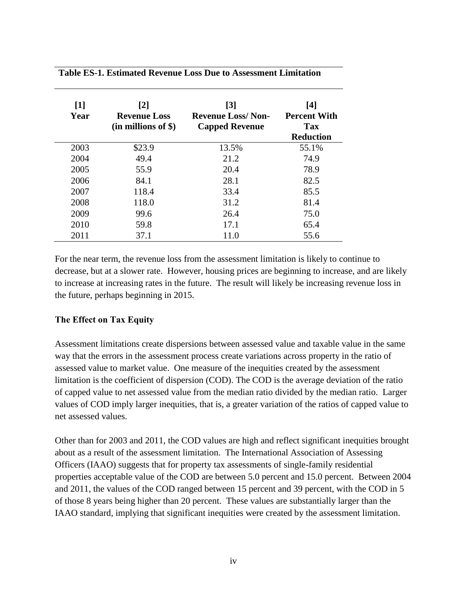## **Table ES-1. Estimated Revenue Loss Due to Assessment Limitation**

| $\lceil 1 \rceil$<br>Year | [2]<br><b>Revenue Loss</b><br>$(in$ millions of \$) | $\lceil 3 \rceil$<br><b>Revenue Loss/Non-</b><br><b>Capped Revenue</b> | [4]<br><b>Percent With</b><br>Tax<br><b>Reduction</b> |
|---------------------------|-----------------------------------------------------|------------------------------------------------------------------------|-------------------------------------------------------|
| 2003                      | \$23.9                                              | 13.5%                                                                  | 55.1%                                                 |
| 2004                      | 49.4                                                | 21.2                                                                   | 74.9                                                  |
| 2005                      | 55.9                                                | 20.4                                                                   | 78.9                                                  |
| 2006                      | 84.1                                                | 28.1                                                                   | 82.5                                                  |
| 2007                      | 118.4                                               | 33.4                                                                   | 85.5                                                  |
| 2008                      | 118.0                                               | 31.2                                                                   | 81.4                                                  |
| 2009                      | 99.6                                                | 26.4                                                                   | 75.0                                                  |
| 2010                      | 59.8                                                | 17.1                                                                   | 65.4                                                  |
| 2011                      | 37.1                                                | 11.0                                                                   | 55.6                                                  |

For the near term, the revenue loss from the assessment limitation is likely to continue to decrease, but at a slower rate. However, housing prices are beginning to increase, and are likely to increase at increasing rates in the future. The result will likely be increasing revenue loss in the future, perhaps beginning in 2015.

## **The Effect on Tax Equity**

Assessment limitations create dispersions between assessed value and taxable value in the same way that the errors in the assessment process create variations across property in the ratio of assessed value to market value. One measure of the inequities created by the assessment limitation is the coefficient of dispersion (COD). The COD is the average deviation of the ratio of capped value to net assessed value from the median ratio divided by the median ratio. Larger values of COD imply larger inequities, that is, a greater variation of the ratios of capped value to net assessed values.

Other than for 2003 and 2011, the COD values are high and reflect significant inequities brought about as a result of the assessment limitation. The International Association of Assessing Officers (IAAO) suggests that for property tax assessments of single-family residential properties acceptable value of the COD are between 5.0 percent and 15.0 percent. Between 2004 and 2011, the values of the COD ranged between 15 percent and 39 percent, with the COD in 5 of those 8 years being higher than 20 percent. These values are substantially larger than the IAAO standard, implying that significant inequities were created by the assessment limitation.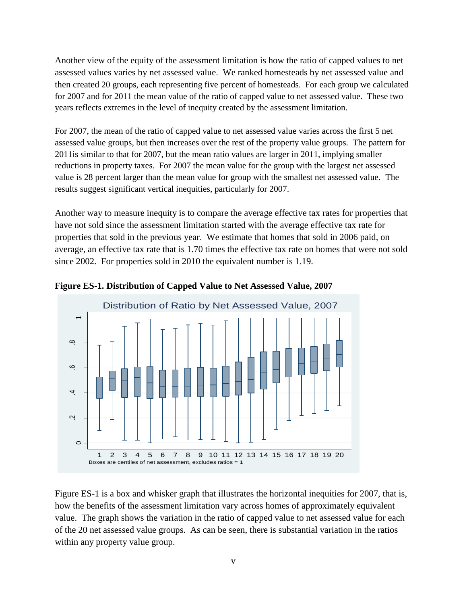Another view of the equity of the assessment limitation is how the ratio of capped values to net assessed values varies by net assessed value. We ranked homesteads by net assessed value and then created 20 groups, each representing five percent of homesteads. For each group we calculated for 2007 and for 2011 the mean value of the ratio of capped value to net assessed value. These two years reflects extremes in the level of inequity created by the assessment limitation.

For 2007, the mean of the ratio of capped value to net assessed value varies across the first 5 net assessed value groups, but then increases over the rest of the property value groups. The pattern for 2011is similar to that for 2007, but the mean ratio values are larger in 2011, implying smaller reductions in property taxes. For 2007 the mean value for the group with the largest net assessed value is 28 percent larger than the mean value for group with the smallest net assessed value. The results suggest significant vertical inequities, particularly for 2007.

Another way to measure inequity is to compare the average effective tax rates for properties that have not sold since the assessment limitation started with the average effective tax rate for properties that sold in the previous year. We estimate that homes that sold in 2006 paid, on average, an effective tax rate that is 1.70 times the effective tax rate on homes that were not sold since 2002. For properties sold in 2010 the equivalent number is 1.19.



**Figure ES-1. Distribution of Capped Value to Net Assessed Value, 2007**

Figure ES-1 is a box and whisker graph that illustrates the horizontal inequities for 2007, that is, how the benefits of the assessment limitation vary across homes of approximately equivalent value. The graph shows the variation in the ratio of capped value to net assessed value for each of the 20 net assessed value groups. As can be seen, there is substantial variation in the ratios within any property value group.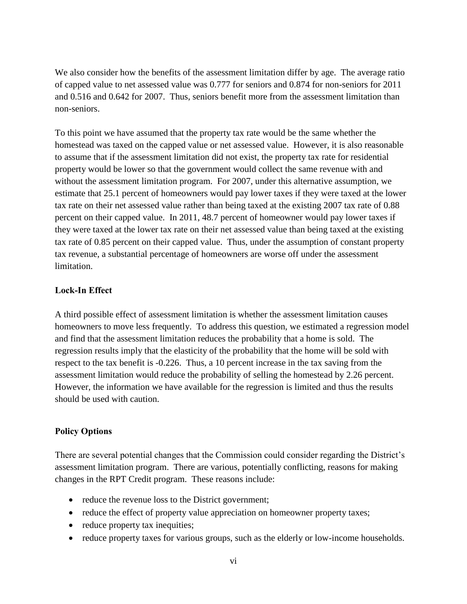We also consider how the benefits of the assessment limitation differ by age. The average ratio of capped value to net assessed value was 0.777 for seniors and 0.874 for non-seniors for 2011 and 0.516 and 0.642 for 2007. Thus, seniors benefit more from the assessment limitation than non-seniors.

To this point we have assumed that the property tax rate would be the same whether the homestead was taxed on the capped value or net assessed value. However, it is also reasonable to assume that if the assessment limitation did not exist, the property tax rate for residential property would be lower so that the government would collect the same revenue with and without the assessment limitation program. For 2007, under this alternative assumption, we estimate that 25.1 percent of homeowners would pay lower taxes if they were taxed at the lower tax rate on their net assessed value rather than being taxed at the existing 2007 tax rate of 0.88 percent on their capped value. In 2011, 48.7 percent of homeowner would pay lower taxes if they were taxed at the lower tax rate on their net assessed value than being taxed at the existing tax rate of 0.85 percent on their capped value. Thus, under the assumption of constant property tax revenue, a substantial percentage of homeowners are worse off under the assessment limitation.

## **Lock-In Effect**

A third possible effect of assessment limitation is whether the assessment limitation causes homeowners to move less frequently. To address this question, we estimated a regression model and find that the assessment limitation reduces the probability that a home is sold. The regression results imply that the elasticity of the probability that the home will be sold with respect to the tax benefit is -0.226. Thus, a 10 percent increase in the tax saving from the assessment limitation would reduce the probability of selling the homestead by 2.26 percent. However, the information we have available for the regression is limited and thus the results should be used with caution.

## **Policy Options**

There are several potential changes that the Commission could consider regarding the District's assessment limitation program. There are various, potentially conflicting, reasons for making changes in the RPT Credit program. These reasons include:

- reduce the revenue loss to the District government;
- reduce the effect of property value appreciation on homeowner property taxes;
- reduce property tax inequities;
- reduce property taxes for various groups, such as the elderly or low-income households.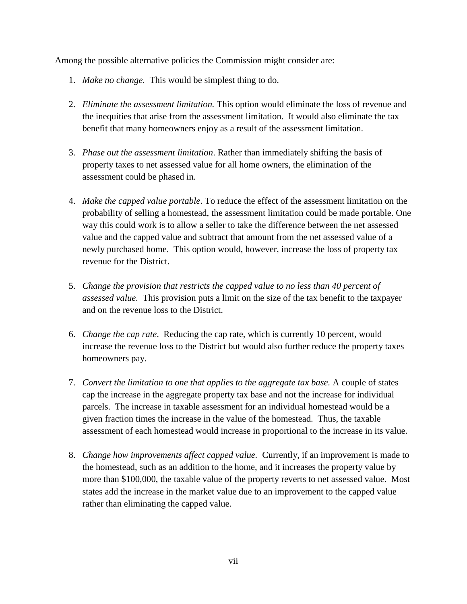Among the possible alternative policies the Commission might consider are:

- 1. *Make no change.* This would be simplest thing to do.
- 2. *Eliminate the assessment limitation.* This option would eliminate the loss of revenue and the inequities that arise from the assessment limitation. It would also eliminate the tax benefit that many homeowners enjoy as a result of the assessment limitation.
- 3. *Phase out the assessment limitation*. Rather than immediately shifting the basis of property taxes to net assessed value for all home owners, the elimination of the assessment could be phased in.
- 4. *Make the capped value portable*. To reduce the effect of the assessment limitation on the probability of selling a homestead, the assessment limitation could be made portable. One way this could work is to allow a seller to take the difference between the net assessed value and the capped value and subtract that amount from the net assessed value of a newly purchased home. This option would, however, increase the loss of property tax revenue for the District.
- 5. *Change the provision that restricts the capped value to no less than 40 percent of assessed value.* This provision puts a limit on the size of the tax benefit to the taxpayer and on the revenue loss to the District.
- 6. *Change the cap rate*. Reducing the cap rate, which is currently 10 percent, would increase the revenue loss to the District but would also further reduce the property taxes homeowners pay.
- 7. *Convert the limitation to one that applies to the aggregate tax base.* A couple of states cap the increase in the aggregate property tax base and not the increase for individual parcels. The increase in taxable assessment for an individual homestead would be a given fraction times the increase in the value of the homestead. Thus, the taxable assessment of each homestead would increase in proportional to the increase in its value.
- 8. *Change how improvements affect capped value.* Currently, if an improvement is made to the homestead, such as an addition to the home, and it increases the property value by more than \$100,000, the taxable value of the property reverts to net assessed value. Most states add the increase in the market value due to an improvement to the capped value rather than eliminating the capped value.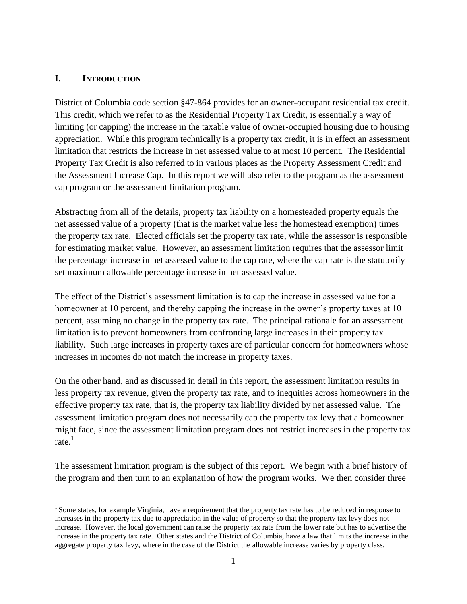## <span id="page-8-0"></span>**I. INTRODUCTION**

 $\overline{a}$ 

District of Columbia code section §47-864 provides for an owner-occupant residential tax credit. This credit, which we refer to as the Residential Property Tax Credit, is essentially a way of limiting (or capping) the increase in the taxable value of owner-occupied housing due to housing appreciation. While this program technically is a property tax credit, it is in effect an assessment limitation that restricts the increase in net assessed value to at most 10 percent. The Residential Property Tax Credit is also referred to in various places as the Property Assessment Credit and the Assessment Increase Cap. In this report we will also refer to the program as the assessment cap program or the assessment limitation program.

Abstracting from all of the details, property tax liability on a homesteaded property equals the net assessed value of a property (that is the market value less the homestead exemption) times the property tax rate. Elected officials set the property tax rate, while the assessor is responsible for estimating market value. However, an assessment limitation requires that the assessor limit the percentage increase in net assessed value to the cap rate, where the cap rate is the statutorily set maximum allowable percentage increase in net assessed value.

The effect of the District's assessment limitation is to cap the increase in assessed value for a homeowner at 10 percent, and thereby capping the increase in the owner's property taxes at 10 percent, assuming no change in the property tax rate. The principal rationale for an assessment limitation is to prevent homeowners from confronting large increases in their property tax liability. Such large increases in property taxes are of particular concern for homeowners whose increases in incomes do not match the increase in property taxes.

On the other hand, and as discussed in detail in this report, the assessment limitation results in less property tax revenue, given the property tax rate, and to inequities across homeowners in the effective property tax rate, that is, the property tax liability divided by net assessed value. The assessment limitation program does not necessarily cap the property tax levy that a homeowner might face, since the assessment limitation program does not restrict increases in the property tax rate. $^1$ 

The assessment limitation program is the subject of this report. We begin with a brief history of the program and then turn to an explanation of how the program works. We then consider three

<sup>&</sup>lt;sup>1</sup> Some states, for example Virginia, have a requirement that the property tax rate has to be reduced in response to increases in the property tax due to appreciation in the value of property so that the property tax levy does not increase. However, the local government can raise the property tax rate from the lower rate but has to advertise the increase in the property tax rate. Other states and the District of Columbia, have a law that limits the increase in the aggregate property tax levy, where in the case of the District the allowable increase varies by property class.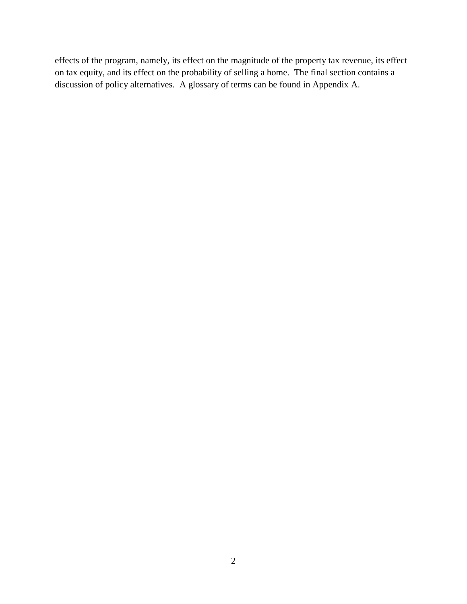effects of the program, namely, its effect on the magnitude of the property tax revenue, its effect on tax equity, and its effect on the probability of selling a home. The final section contains a discussion of policy alternatives. A glossary of terms can be found in Appendix A.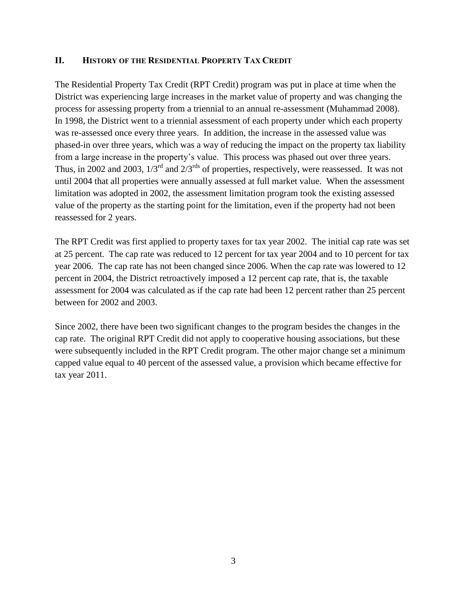## <span id="page-10-0"></span>**II. HISTORY OF THE RESIDENTIAL PROPERTY TAX CREDIT**

The Residential Property Tax Credit (RPT Credit) program was put in place at time when the District was experiencing large increases in the market value of property and was changing the process for assessing property from a triennial to an annual re-assessment (Muhammad 2008). In 1998, the District went to a triennial assessment of each property under which each property was re-assessed once every three years. In addition, the increase in the assessed value was phased-in over three years, which was a way of reducing the impact on the property tax liability from a large increase in the property's value. This process was phased out over three years. Thus, in 2002 and 2003,  $1/3^{rd}$  and  $2/3^{rds}$  of properties, respectively, were reassessed. It was not until 2004 that all properties were annually assessed at full market value. When the assessment limitation was adopted in 2002, the assessment limitation program took the existing assessed value of the property as the starting point for the limitation, even if the property had not been reassessed for 2 years.

The RPT Credit was first applied to property taxes for tax year 2002. The initial cap rate was set at 25 percent. The cap rate was reduced to 12 percent for tax year 2004 and to 10 percent for tax year 2006. The cap rate has not been changed since 2006. When the cap rate was lowered to 12 percent in 2004, the District retroactively imposed a 12 percent cap rate, that is, the taxable assessment for 2004 was calculated as if the cap rate had been 12 percent rather than 25 percent between for 2002 and 2003.

Since 2002, there have been two significant changes to the program besides the changes in the cap rate. The original RPT Credit did not apply to cooperative housing associations, but these were subsequently included in the RPT Credit program. The other major change set a minimum capped value equal to 40 percent of the assessed value, a provision which became effective for tax year 2011.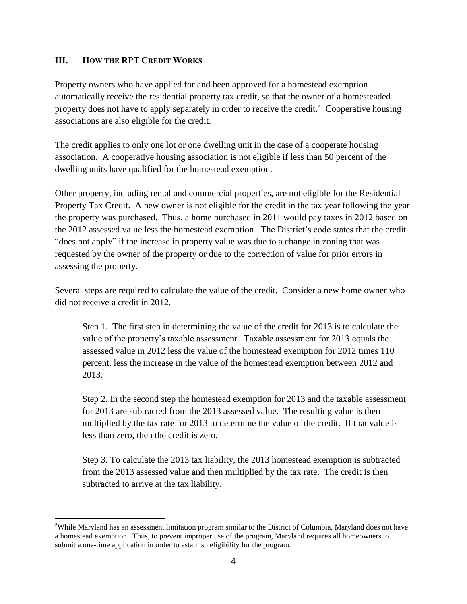## <span id="page-11-0"></span>**III. HOW THE RPT CREDIT WORKS**

 $\overline{a}$ 

Property owners who have applied for and been approved for a homestead exemption automatically receive the residential property tax credit, so that the owner of a homesteaded property does not have to apply separately in order to receive the credit.<sup>2</sup> Cooperative housing associations are also eligible for the credit.

The credit applies to only one lot or one dwelling unit in the case of a cooperate housing association. A cooperative housing association is not eligible if less than 50 percent of the dwelling units have qualified for the homestead exemption.

Other property, including rental and commercial properties, are not eligible for the Residential Property Tax Credit. A new owner is not eligible for the credit in the tax year following the year the property was purchased. Thus, a home purchased in 2011 would pay taxes in 2012 based on the 2012 assessed value less the homestead exemption. The District's code states that the credit "does not apply" if the increase in property value was due to a change in zoning that was requested by the owner of the property or due to the correction of value for prior errors in assessing the property.

Several steps are required to calculate the value of the credit. Consider a new home owner who did not receive a credit in 2012.

Step 1. The first step in determining the value of the credit for 2013 is to calculate the value of the property's taxable assessment. Taxable assessment for 2013 equals the assessed value in 2012 less the value of the homestead exemption for 2012 times 110 percent, less the increase in the value of the homestead exemption between 2012 and 2013.

Step 2. In the second step the homestead exemption for 2013 and the taxable assessment for 2013 are subtracted from the 2013 assessed value. The resulting value is then multiplied by the tax rate for 2013 to determine the value of the credit. If that value is less than zero, then the credit is zero.

Step 3. To calculate the 2013 tax liability, the 2013 homestead exemption is subtracted from the 2013 assessed value and then multiplied by the tax rate. The credit is then subtracted to arrive at the tax liability.

<sup>&</sup>lt;sup>2</sup>While Maryland has an assessment limitation program similar to the District of Columbia, Maryland does not have a homestead exemption. Thus, to prevent improper use of the program, Maryland requires all homeowners to submit a one-time application in order to establish eligibility for the program.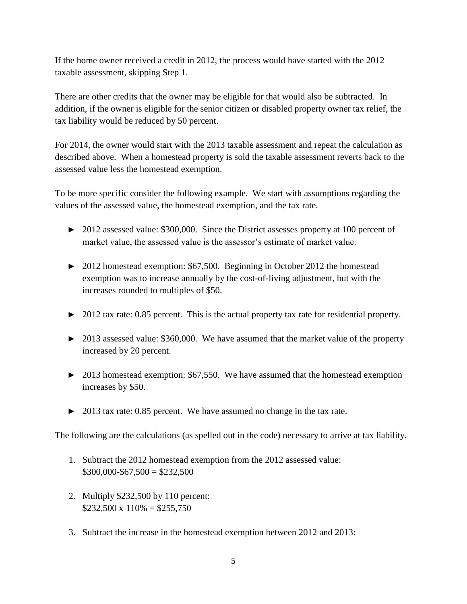If the home owner received a credit in 2012, the process would have started with the 2012 taxable assessment, skipping Step 1.

There are other credits that the owner may be eligible for that would also be subtracted. In addition, if the owner is eligible for the senior citizen or disabled property owner tax relief, the tax liability would be reduced by 50 percent.

For 2014, the owner would start with the 2013 taxable assessment and repeat the calculation as described above. When a homestead property is sold the taxable assessment reverts back to the assessed value less the homestead exemption.

To be more specific consider the following example. We start with assumptions regarding the values of the assessed value, the homestead exemption, and the tax rate.

- ► 2012 assessed value: \$300,000. Since the District assesses property at 100 percent of market value, the assessed value is the assessor's estimate of market value.
- ► 2012 homestead exemption: \$67,500. Beginning in October 2012 the homestead exemption was to increase annually by the cost-of-living adjustment, but with the increases rounded to multiples of \$50.
- ► 2012 tax rate: 0.85 percent. This is the actual property tax rate for residential property.
- ► 2013 assessed value: \$360,000. We have assumed that the market value of the property increased by 20 percent.
- ► 2013 homestead exemption: \$67,550. We have assumed that the homestead exemption increases by \$50.
- ► 2013 tax rate: 0.85 percent. We have assumed no change in the tax rate.

The following are the calculations (as spelled out in the code) necessary to arrive at tax liability.

- 1. Subtract the 2012 homestead exemption from the 2012 assessed value:  $$300,000 - $67,500 = $232,500$
- 2. Multiply \$232,500 by 110 percent:  $$232,500 \times 110\% = $255,750$
- 3. Subtract the increase in the homestead exemption between 2012 and 2013: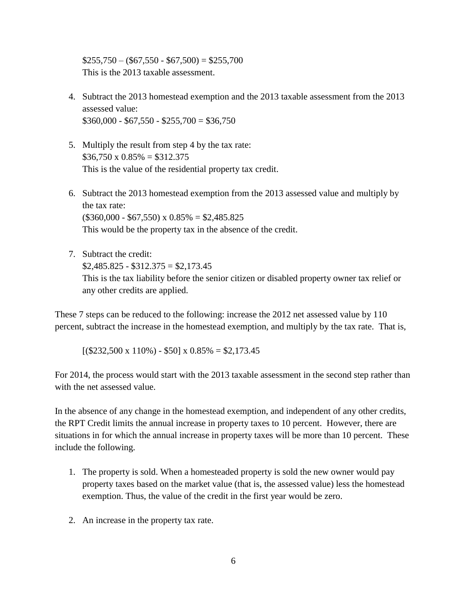$$255,750 - ($67,550 - $67,500) = $255,700$ This is the 2013 taxable assessment.

- 4. Subtract the 2013 homestead exemption and the 2013 taxable assessment from the 2013 assessed value:  $$360,000 - $67,550 - $255,700 = $36,750$
- 5. Multiply the result from step 4 by the tax rate:  $$36,750 \times 0.85\% = $312.375$ This is the value of the residential property tax credit.
- 6. Subtract the 2013 homestead exemption from the 2013 assessed value and multiply by the tax rate:  $($360,000 - $67,550) \times 0.85\% = $2,485.825$ This would be the property tax in the absence of the credit.
- 7. Subtract the credit:  $$2,485.825 - $312.375 = $2,173.45$ This is the tax liability before the senior citizen or disabled property owner tax relief or any other credits are applied.

These 7 steps can be reduced to the following: increase the 2012 net assessed value by 110 percent, subtract the increase in the homestead exemption, and multiply by the tax rate. That is,

 $[(\$232,500 \times 110\%) - \$50] \times 0.85\% = \$2,173.45$ 

For 2014, the process would start with the 2013 taxable assessment in the second step rather than with the net assessed value.

In the absence of any change in the homestead exemption, and independent of any other credits, the RPT Credit limits the annual increase in property taxes to 10 percent. However, there are situations in for which the annual increase in property taxes will be more than 10 percent. These include the following.

- 1. The property is sold. When a homesteaded property is sold the new owner would pay property taxes based on the market value (that is, the assessed value) less the homestead exemption. Thus, the value of the credit in the first year would be zero.
- 2. An increase in the property tax rate.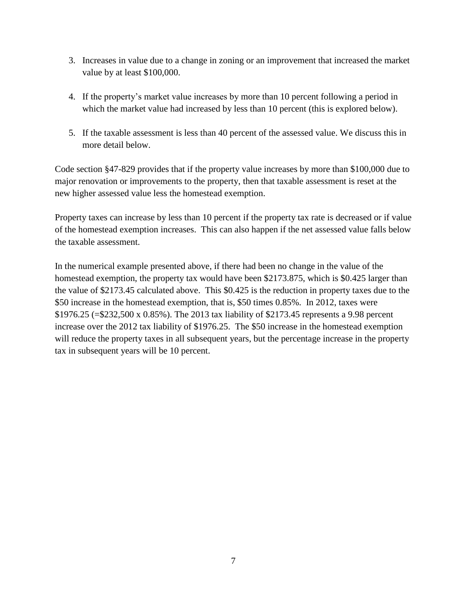- 3. Increases in value due to a change in zoning or an improvement that increased the market value by at least \$100,000.
- 4. If the property's market value increases by more than 10 percent following a period in which the market value had increased by less than 10 percent (this is explored below).
- 5. If the taxable assessment is less than 40 percent of the assessed value. We discuss this in more detail below.

Code section §47-829 provides that if the property value increases by more than \$100,000 due to major renovation or improvements to the property, then that taxable assessment is reset at the new higher assessed value less the homestead exemption.

Property taxes can increase by less than 10 percent if the property tax rate is decreased or if value of the homestead exemption increases. This can also happen if the net assessed value falls below the taxable assessment.

In the numerical example presented above, if there had been no change in the value of the homestead exemption, the property tax would have been \$2173.875, which is \$0.425 larger than the value of \$2173.45 calculated above. This \$0.425 is the reduction in property taxes due to the \$50 increase in the homestead exemption, that is, \$50 times 0.85%. In 2012, taxes were \$1976.25 (=\$232,500 x 0.85%). The 2013 tax liability of \$2173.45 represents a 9.98 percent increase over the 2012 tax liability of \$1976.25. The \$50 increase in the homestead exemption will reduce the property taxes in all subsequent years, but the percentage increase in the property tax in subsequent years will be 10 percent.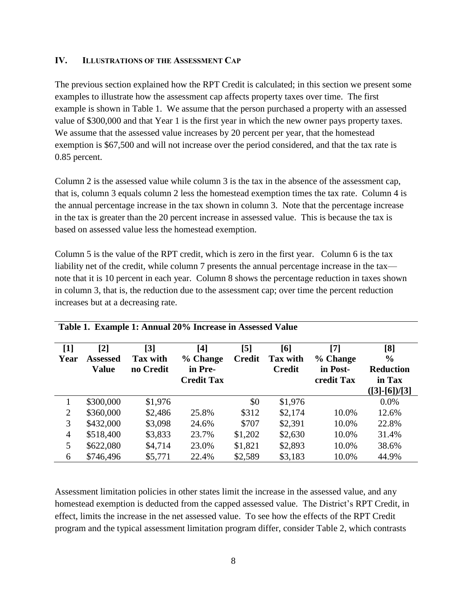## <span id="page-15-0"></span>**IV. ILLUSTRATIONS OF THE ASSESSMENT CAP**

The previous section explained how the RPT Credit is calculated; in this section we present some examples to illustrate how the assessment cap affects property taxes over time. The first example is shown in Table 1. We assume that the person purchased a property with an assessed value of \$300,000 and that Year 1 is the first year in which the new owner pays property taxes. We assume that the assessed value increases by 20 percent per year, that the homestead exemption is \$67,500 and will not increase over the period considered, and that the tax rate is 0.85 percent.

Column 2 is the assessed value while column 3 is the tax in the absence of the assessment cap, that is, column 3 equals column 2 less the homestead exemption times the tax rate. Column 4 is the annual percentage increase in the tax shown in column 3. Note that the percentage increase in the tax is greater than the 20 percent increase in assessed value. This is because the tax is based on assessed value less the homestead exemption.

Column 5 is the value of the RPT credit, which is zero in the first year. Column 6 is the tax liability net of the credit, while column 7 presents the annual percentage increase in the tax note that it is 10 percent in each year. Column 8 shows the percentage reduction in taxes shown in column 3, that is, the reduction due to the assessment cap; over time the percent reduction increases but at a decreasing rate.

| $[1]$<br>Year  | [2]<br><b>Assessed</b><br>Value | $[3]$<br><b>Tax with</b><br>no Credit | [4]<br>% Change<br>in Pre-<br><b>Credit Tax</b> | [5]<br><b>Credit</b> | [6]<br>Tax with<br><b>Credit</b> | [7]<br>% Change<br>in Post-<br>credit Tax | [8]<br>$\%$<br><b>Reduction</b><br>in Tax<br>$([3] - [6]) / [3]$ |
|----------------|---------------------------------|---------------------------------------|-------------------------------------------------|----------------------|----------------------------------|-------------------------------------------|------------------------------------------------------------------|
|                | \$300,000                       | \$1,976                               |                                                 | \$0                  | \$1,976                          |                                           | $0.0\%$                                                          |
| $\overline{2}$ | \$360,000                       | \$2,486                               | 25.8%                                           | \$312                | \$2,174                          | 10.0%                                     | 12.6%                                                            |
| 3              | \$432,000                       | \$3,098                               | 24.6%                                           | \$707                | \$2,391                          | 10.0%                                     | 22.8%                                                            |
| $\overline{4}$ | \$518,400                       | \$3,833                               | 23.7%                                           | \$1,202              | \$2,630                          | 10.0%                                     | 31.4%                                                            |
| 5              | \$622,080                       | \$4,714                               | 23.0%                                           | \$1,821              | \$2,893                          | 10.0%                                     | 38.6%                                                            |
| 6              | \$746,496                       | \$5,771                               | 22.4%                                           | \$2,589              | \$3,183                          | 10.0%                                     | 44.9%                                                            |

#### **Table 1. Example 1: Annual 20% Increase in Assessed Value**

Assessment limitation policies in other states limit the increase in the assessed value, and any homestead exemption is deducted from the capped assessed value. The District's RPT Credit, in effect, limits the increase in the net assessed value. To see how the effects of the RPT Credit program and the typical assessment limitation program differ, consider Table 2, which contrasts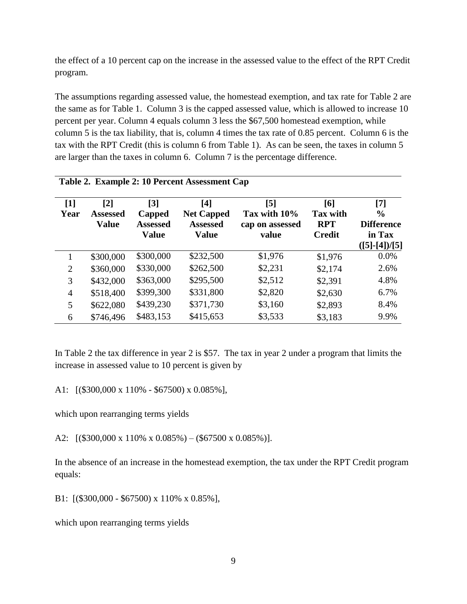the effect of a 10 percent cap on the increase in the assessed value to the effect of the RPT Credit program.

The assumptions regarding assessed value, the homestead exemption, and tax rate for Table 2 are the same as for Table 1. Column 3 is the capped assessed value, which is allowed to increase 10 percent per year. Column 4 equals column 3 less the \$67,500 homestead exemption, while column 5 is the tax liability, that is, column 4 times the tax rate of 0.85 percent. Column 6 is the tax with the RPT Credit (this is column 6 from Table 1). As can be seen, the taxes in column 5 are larger than the taxes in column 6. Column 7 is the percentage difference.

|                           | Table 2. Example 2: 10 Percent Assessment Cap |                                                                |                                                             |                                                 |                                                       |                                                                         |  |  |  |  |
|---------------------------|-----------------------------------------------|----------------------------------------------------------------|-------------------------------------------------------------|-------------------------------------------------|-------------------------------------------------------|-------------------------------------------------------------------------|--|--|--|--|
| $\lceil 1 \rceil$<br>Year | [2]<br><b>Assessed</b><br><b>Value</b>        | $\lceil 3 \rceil$<br>Capped<br><b>Assessed</b><br><b>Value</b> | [4]<br><b>Net Capped</b><br><b>Assessed</b><br><b>Value</b> | [5]<br>Tax with 10%<br>cap on assessed<br>value | [6]<br><b>Tax with</b><br><b>RPT</b><br><b>Credit</b> | [7]<br>$\frac{0}{0}$<br><b>Difference</b><br>in Tax<br>$([5]$ -[4])/[5] |  |  |  |  |
|                           | \$300,000                                     | \$300,000                                                      | \$232,500                                                   | \$1,976                                         | \$1,976                                               | 0.0%                                                                    |  |  |  |  |
| $\overline{2}$            | \$360,000                                     | \$330,000                                                      | \$262,500                                                   | \$2,231                                         | \$2,174                                               | 2.6%                                                                    |  |  |  |  |
| 3                         | \$432,000                                     | \$363,000                                                      | \$295,500                                                   | \$2,512                                         | \$2,391                                               | 4.8%                                                                    |  |  |  |  |
| $\overline{4}$            | \$518,400                                     | \$399,300                                                      | \$331,800                                                   | \$2,820                                         | \$2,630                                               | 6.7%                                                                    |  |  |  |  |
| 5                         | \$622,080                                     | \$439,230                                                      | \$371,730                                                   | \$3,160                                         | \$2,893                                               | 8.4%                                                                    |  |  |  |  |
| 6                         | \$746,496                                     | \$483,153                                                      | \$415,653                                                   | \$3,533                                         | \$3,183                                               | 9.9%                                                                    |  |  |  |  |

In Table 2 the tax difference in year 2 is \$57. The tax in year 2 under a program that limits the increase in assessed value to 10 percent is given by

A1: [(\$300,000 x 110% - \$67500) x 0.085%],

which upon rearranging terms yields

A2:  $[(\$300,000 \times 110\% \times 0.085\%) - (\$67500 \times 0.085\%)].$ 

In the absence of an increase in the homestead exemption, the tax under the RPT Credit program equals:

B1: [(\$300,000 - \$67500) x 110% x 0.85%],

which upon rearranging terms yields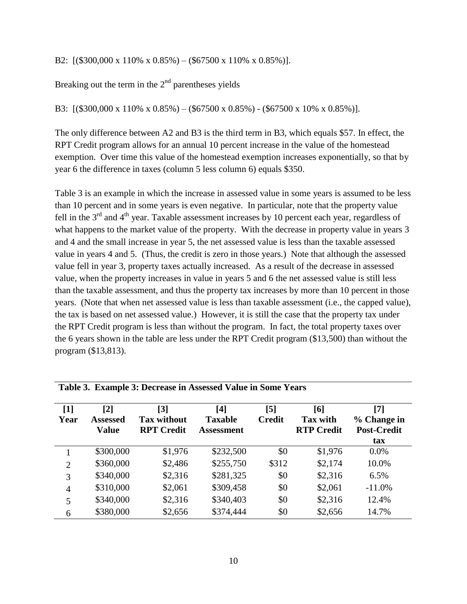B2: [(\$300,000 x 110% x 0.85%) – (\$67500 x 110% x 0.85%)].

Breaking out the term in the  $2<sup>nd</sup>$  parentheses yields

B3: [(\$300,000 x 110% x 0.85%) – (\$67500 x 0.85%) - (\$67500 x 10% x 0.85%)].

The only difference between A2 and B3 is the third term in B3, which equals \$57. In effect, the RPT Credit program allows for an annual 10 percent increase in the value of the homestead exemption. Over time this value of the homestead exemption increases exponentially, so that by year 6 the difference in taxes (column 5 less column 6) equals \$350.

Table 3 is an example in which the increase in assessed value in some years is assumed to be less than 10 percent and in some years is even negative. In particular, note that the property value fell in the 3<sup>rd</sup> and 4<sup>th</sup> year. Taxable assessment increases by 10 percent each year, regardless of what happens to the market value of the property. With the decrease in property value in years 3 and 4 and the small increase in year 5, the net assessed value is less than the taxable assessed value in years 4 and 5. (Thus, the credit is zero in those years.) Note that although the assessed value fell in year 3, property taxes actually increased. As a result of the decrease in assessed value, when the property increases in value in years 5 and 6 the net assessed value is still less than the taxable assessment, and thus the property tax increases by more than 10 percent in those years. (Note that when net assessed value is less than taxable assessment (i.e., the capped value), the tax is based on net assessed value.) However, it is still the case that the property tax under the RPT Credit program is less than without the program. In fact, the total property taxes over the 6 years shown in the table are less under the RPT Credit program (\$13,500) than without the program (\$13,813).

| $\lceil 1 \rceil$<br>Year | л.<br>[2]<br><b>Assessed</b><br><b>Value</b> | $\lceil 3 \rceil$<br><b>Tax without</b><br><b>RPT</b> Credit | [4]<br><b>Taxable</b><br>Assessment | $\lceil 5 \rceil$<br><b>Credit</b> | [6]<br><b>Tax with</b><br><b>RTP Credit</b> | $\lceil 7 \rceil$<br>% Change in<br><b>Post-Credit</b><br>tax |
|---------------------------|----------------------------------------------|--------------------------------------------------------------|-------------------------------------|------------------------------------|---------------------------------------------|---------------------------------------------------------------|
|                           | \$300,000                                    | \$1,976                                                      | \$232,500                           | \$0                                | \$1,976                                     | $0.0\%$                                                       |
| $\overline{2}$            | \$360,000                                    | \$2,486                                                      | \$255,750                           | \$312                              | \$2,174                                     | 10.0%                                                         |
| 3                         | \$340,000                                    | \$2,316                                                      | \$281,325                           | \$0                                | \$2,316                                     | 6.5%                                                          |
| $\overline{4}$            | \$310,000                                    | \$2,061                                                      | \$309,458                           | \$0                                | \$2,061                                     | $-11.0%$                                                      |
| 5                         | \$340,000                                    | \$2,316                                                      | \$340,403                           | \$0                                | \$2,316                                     | 12.4%                                                         |
| 6                         | \$380,000                                    | \$2,656                                                      | \$374,444                           | \$0                                | \$2,656                                     | 14.7%                                                         |

**Table 3. Example 3: Decrease in Assessed Value in Some Years**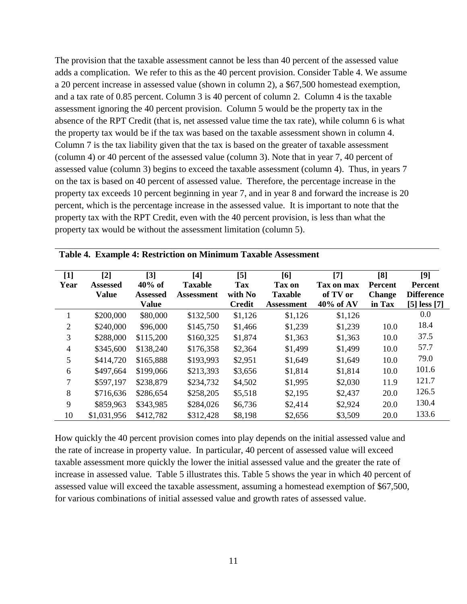The provision that the taxable assessment cannot be less than 40 percent of the assessed value adds a complication. We refer to this as the 40 percent provision. Consider Table 4. We assume a 20 percent increase in assessed value (shown in column 2), a \$67,500 homestead exemption, and a tax rate of 0.85 percent. Column 3 is 40 percent of column 2. Column 4 is the taxable assessment ignoring the 40 percent provision. Column 5 would be the property tax in the absence of the RPT Credit (that is, net assessed value time the tax rate), while column 6 is what the property tax would be if the tax was based on the taxable assessment shown in column 4. Column 7 is the tax liability given that the tax is based on the greater of taxable assessment (column 4) or 40 percent of the assessed value (column 3). Note that in year 7, 40 percent of assessed value (column 3) begins to exceed the taxable assessment (column 4). Thus, in years 7 on the tax is based on 40 percent of assessed value. Therefore, the percentage increase in the property tax exceeds 10 percent beginning in year 7, and in year 8 and forward the increase is 20 percent, which is the percentage increase in the assessed value. It is important to note that the property tax with the RPT Credit, even with the 40 percent provision, is less than what the property tax would be without the assessment limitation (column 5).

| $[1]$          | $[2]$           | $\lceil 3 \rceil$ | [4]               | $\mathsf{[}5\mathsf{]}$ | [6]               | $[7]$      | [8]           | [9]               |
|----------------|-----------------|-------------------|-------------------|-------------------------|-------------------|------------|---------------|-------------------|
| Year           | <b>Assessed</b> | $40\%$ of         | <b>Taxable</b>    | <b>Tax</b>              | Tax on            | Tax on max | Percent       | Percent           |
|                | <b>Value</b>    | <b>Assessed</b>   | <b>Assessment</b> | with No                 | <b>Taxable</b>    | of TV or   | <b>Change</b> | <b>Difference</b> |
|                |                 | <b>Value</b>      |                   | <b>Credit</b>           | <b>Assessment</b> | 40% of AV  | in Tax        | $[5]$ less $[7]$  |
|                | \$200,000       | \$80,000          | \$132,500         | \$1,126                 | \$1,126           | \$1,126    |               | 0.0               |
| 2              | \$240,000       | \$96,000          | \$145,750         | \$1,466                 | \$1,239           | \$1,239    | 10.0          | 18.4              |
| 3              | \$288,000       | \$115,200         | \$160,325         | \$1,874                 | \$1,363           | \$1,363    | 10.0          | 37.5              |
| $\overline{4}$ | \$345,600       | \$138,240         | \$176,358         | \$2,364                 | \$1,499           | \$1,499    | 10.0          | 57.7              |
| 5              | \$414,720       | \$165,888         | \$193,993         | \$2,951                 | \$1,649           | \$1,649    | 10.0          | 79.0              |
| 6              | \$497,664       | \$199,066         | \$213,393         | \$3,656                 | \$1,814           | \$1,814    | 10.0          | 101.6             |
| 7              | \$597,197       | \$238,879         | \$234,732         | \$4,502                 | \$1,995           | \$2,030    | 11.9          | 121.7             |
| 8              | \$716,636       | \$286,654         | \$258,205         | \$5,518                 | \$2,195           | \$2,437    | 20.0          | 126.5             |
| 9              | \$859,963       | \$343,985         | \$284,026         | \$6,736                 | \$2,414           | \$2,924    | 20.0          | 130.4             |
| 10             | \$1,031,956     | \$412,782         | \$312,428         | \$8,198                 | \$2,656           | \$3,509    | 20.0          | 133.6             |

|  |  | Table 4. Example 4: Restriction on Minimum Taxable Assessment |  |  |  |
|--|--|---------------------------------------------------------------|--|--|--|
|--|--|---------------------------------------------------------------|--|--|--|

How quickly the 40 percent provision comes into play depends on the initial assessed value and the rate of increase in property value. In particular, 40 percent of assessed value will exceed taxable assessment more quickly the lower the initial assessed value and the greater the rate of increase in assessed value. Table 5 illustrates this. Table 5 shows the year in which 40 percent of assessed value will exceed the taxable assessment, assuming a homestead exemption of \$67,500, for various combinations of initial assessed value and growth rates of assessed value.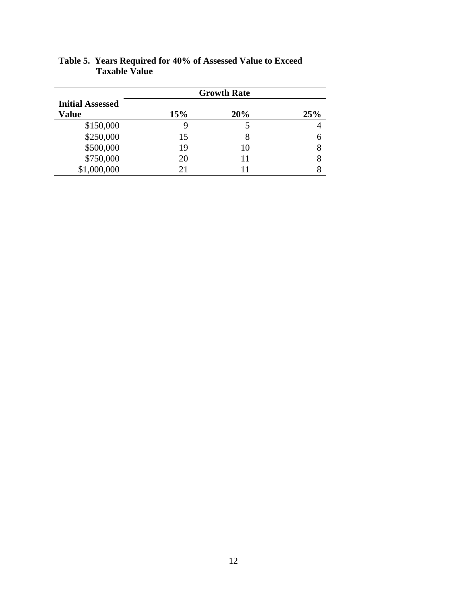| <b>Growth Rate</b>                      |     |     |     |  |  |  |
|-----------------------------------------|-----|-----|-----|--|--|--|
| <b>Initial Assessed</b><br><b>Value</b> | 15% | 20% | 25% |  |  |  |
| \$150,000                               |     |     | 4   |  |  |  |
| \$250,000                               | 15  |     | 6   |  |  |  |
| \$500,000                               | 19  | 10  | 8   |  |  |  |
| \$750,000                               | 20  | 11  | 8   |  |  |  |
| \$1,000,000                             | 21  |     |     |  |  |  |

# **Table 5. Years Required for 40% of Assessed Value to Exceed Taxable Value**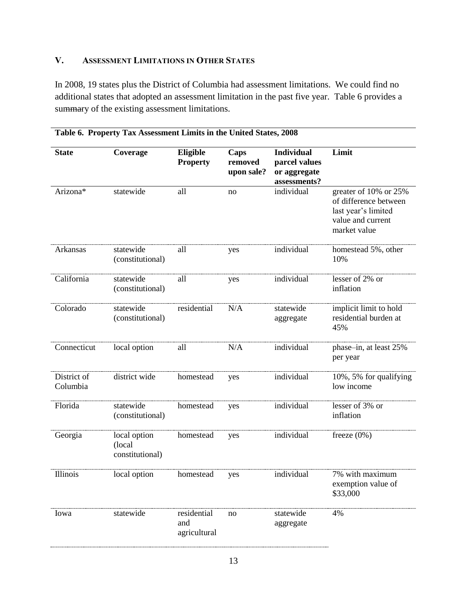# <span id="page-20-0"></span>**V. ASSESSMENT LIMITATIONS IN OTHER STATES**

In 2008, 19 states plus the District of Columbia had assessment limitations. We could find no additional states that adopted an assessment limitation in the past five year. Table 6 provides a summary of the existing assessment limitations.

| <b>State</b>            | Coverage                                  | Eligible<br><b>Property</b>        | Caps<br>removed<br>upon sale? | <b>Individual</b><br>parcel values<br>or aggregate<br>assessments? | Limit                                                                                                      |
|-------------------------|-------------------------------------------|------------------------------------|-------------------------------|--------------------------------------------------------------------|------------------------------------------------------------------------------------------------------------|
| Arizona*                | statewide                                 | all                                | no                            | individual                                                         | greater of 10% or 25%<br>of difference between<br>last year's limited<br>value and current<br>market value |
| Arkansas                | statewide<br>(constitutional)             | all                                | yes                           | individual                                                         | homestead 5%, other<br>10%                                                                                 |
| California              | statewide<br>(constitutional)             | all                                | yes                           | individual                                                         | lesser of 2% or<br>inflation                                                                               |
| Colorado                | statewide<br>(constitutional)             | residential                        | N/A                           | statewide<br>aggregate                                             | implicit limit to hold<br>residential burden at<br>45%                                                     |
| Connecticut             | local option                              | all                                | N/A                           | individual                                                         | phase-in, at least 25%<br>per year                                                                         |
| District of<br>Columbia | district wide                             | homestead                          | yes                           | individual                                                         | 10%, 5% for qualifying<br>low income                                                                       |
| Florida                 | statewide<br>(constitutional)             | homestead                          | yes                           | individual                                                         | lesser of 3% or<br>inflation                                                                               |
| Georgia                 | local option<br>(local<br>constitutional) | homestead                          | yes                           | individual                                                         | freeze $(0\%)$                                                                                             |
| Illinois                | local option                              | homestead                          | yes                           | individual                                                         | 7% with maximum<br>exemption value of<br>\$33,000                                                          |
| Iowa                    | statewide                                 | residential<br>and<br>agricultural | no                            | statewide<br>aggregate                                             | 4%                                                                                                         |

# **Table 6. Property Tax Assessment Limits in the United States, 2008**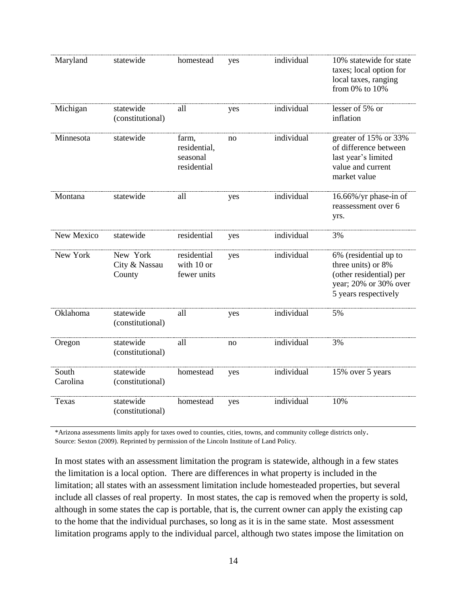| Maryland          | statewide                           | homestead                                        | yes | individual | 10% statewide for state<br>taxes; local option for<br>local taxes, ranging<br>from 0% to 10%                            |
|-------------------|-------------------------------------|--------------------------------------------------|-----|------------|-------------------------------------------------------------------------------------------------------------------------|
| Michigan          | statewide<br>(constitutional)       | all                                              | yes | individual | lesser of 5% or<br>inflation                                                                                            |
| Minnesota         | statewide                           | farm,<br>residential,<br>seasonal<br>residential | no  | individual | greater of 15% or 33%<br>of difference between<br>last year's limited<br>value and current<br>market value              |
| Montana           | statewide                           | all                                              | yes | individual | 16.66%/yr phase-in of<br>reassessment over 6<br>yrs.                                                                    |
| New Mexico        | statewide                           | residential                                      | yes | individual | 3%                                                                                                                      |
| New York          | New York<br>City & Nassau<br>County | residential<br>with 10 or<br>fewer units         | yes | individual | 6% (residential up to<br>three units) or 8%<br>(other residential) per<br>year; 20% or 30% over<br>5 years respectively |
| Oklahoma          | statewide<br>(constitutional)       | all                                              | yes | individual | 5%                                                                                                                      |
| Oregon            | statewide<br>(constitutional)       | all                                              | no  | individual | 3%                                                                                                                      |
| South<br>Carolina | statewide<br>(constitutional)       | homestead                                        | yes | individual | 15% over 5 years                                                                                                        |
| Texas             | statewide<br>(constitutional)       | homestead                                        | yes | individual | 10%                                                                                                                     |

\*Arizona assessments limits apply for taxes owed to counties, cities, towns, and community college districts only. Source: Sexton (2009). Reprinted by permission of the Lincoln Institute of Land Policy.

In most states with an assessment limitation the program is statewide, although in a few states the limitation is a local option. There are differences in what property is included in the limitation; all states with an assessment limitation include homesteaded properties, but several include all classes of real property. In most states, the cap is removed when the property is sold, although in some states the cap is portable, that is, the current owner can apply the existing cap to the home that the individual purchases, so long as it is in the same state. Most assessment limitation programs apply to the individual parcel, although two states impose the limitation on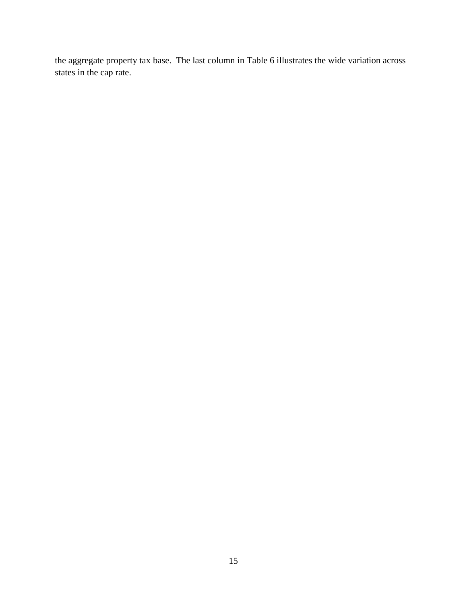the aggregate property tax base. The last column in Table 6 illustrates the wide variation across states in the cap rate.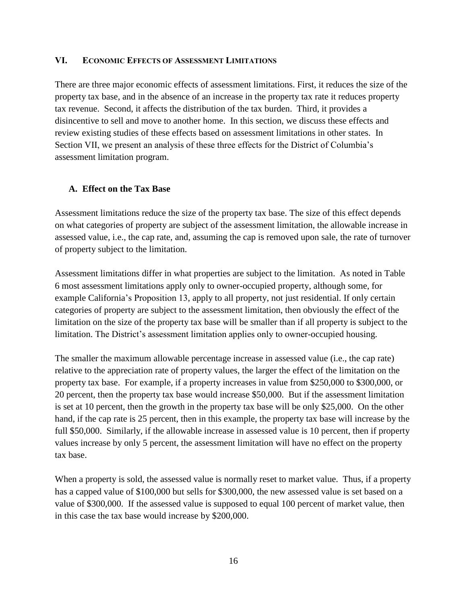#### <span id="page-23-0"></span>**VI. ECONOMIC EFFECTS OF ASSESSMENT LIMITATIONS**

There are three major economic effects of assessment limitations. First, it reduces the size of the property tax base, and in the absence of an increase in the property tax rate it reduces property tax revenue. Second, it affects the distribution of the tax burden. Third, it provides a disincentive to sell and move to another home. In this section, we discuss these effects and review existing studies of these effects based on assessment limitations in other states. In Section VII, we present an analysis of these three effects for the District of Columbia's assessment limitation program.

## <span id="page-23-1"></span>**A. Effect on the Tax Base**

Assessment limitations reduce the size of the property tax base. The size of this effect depends on what categories of property are subject of the assessment limitation, the allowable increase in assessed value, i.e., the cap rate, and, assuming the cap is removed upon sale, the rate of turnover of property subject to the limitation.

Assessment limitations differ in what properties are subject to the limitation. As noted in Table 6 most assessment limitations apply only to owner-occupied property, although some, for example California's Proposition 13, apply to all property, not just residential. If only certain categories of property are subject to the assessment limitation, then obviously the effect of the limitation on the size of the property tax base will be smaller than if all property is subject to the limitation. The District's assessment limitation applies only to owner-occupied housing.

The smaller the maximum allowable percentage increase in assessed value (i.e., the cap rate) relative to the appreciation rate of property values, the larger the effect of the limitation on the property tax base. For example, if a property increases in value from \$250,000 to \$300,000, or 20 percent, then the property tax base would increase \$50,000. But if the assessment limitation is set at 10 percent, then the growth in the property tax base will be only \$25,000. On the other hand, if the cap rate is 25 percent, then in this example, the property tax base will increase by the full \$50,000. Similarly, if the allowable increase in assessed value is 10 percent, then if property values increase by only 5 percent, the assessment limitation will have no effect on the property tax base.

When a property is sold, the assessed value is normally reset to market value. Thus, if a property has a capped value of \$100,000 but sells for \$300,000, the new assessed value is set based on a value of \$300,000. If the assessed value is supposed to equal 100 percent of market value, then in this case the tax base would increase by \$200,000.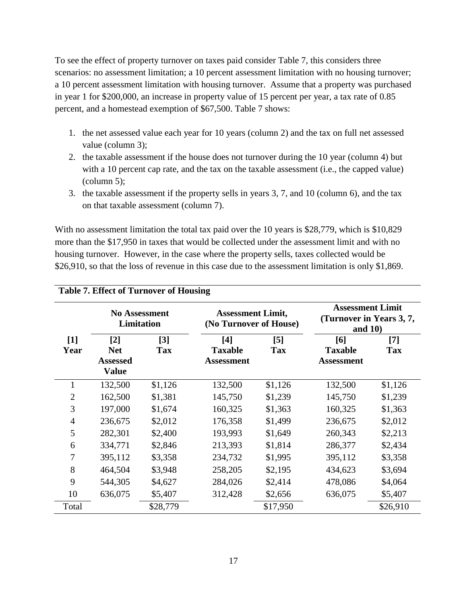To see the effect of property turnover on taxes paid consider Table 7, this considers three scenarios: no assessment limitation; a 10 percent assessment limitation with no housing turnover; a 10 percent assessment limitation with housing turnover. Assume that a property was purchased in year 1 for \$200,000, an increase in property value of 15 percent per year, a tax rate of 0.85 percent, and a homestead exemption of \$67,500. Table 7 shows:

- 1. the net assessed value each year for 10 years (column 2) and the tax on full net assessed value (column 3);
- 2. the taxable assessment if the house does not turnover during the 10 year (column 4) but with a 10 percent cap rate, and the tax on the taxable assessment (i.e., the capped value) (column 5);
- 3. the taxable assessment if the property sells in years 3, 7, and 10 (column 6), and the tax on that taxable assessment (column 7).

With no assessment limitation the total tax paid over the 10 years is \$28,779, which is \$10,829 more than the \$17,950 in taxes that would be collected under the assessment limit and with no housing turnover. However, in the case where the property sells, taxes collected would be \$26,910, so that the loss of revenue in this case due to the assessment limitation is only \$1,869.

|                |                                                        |                     | o                                                  |                     |                                                                   |                     |
|----------------|--------------------------------------------------------|---------------------|----------------------------------------------------|---------------------|-------------------------------------------------------------------|---------------------|
|                | <b>No Assessment</b><br><b>Limitation</b>              |                     | <b>Assessment Limit,</b><br>(No Turnover of House) |                     | <b>Assessment Limit</b><br>(Turnover in Years 3, 7,<br>and $10$ ) |                     |
| $[1]$<br>Year  | $[2]$<br><b>Net</b><br><b>Assessed</b><br><b>Value</b> | $[3]$<br><b>Tax</b> | [4]<br><b>Taxable</b><br><b>Assessment</b>         | $[5]$<br><b>Tax</b> | [6]<br><b>Taxable</b><br><b>Assessment</b>                        | $[7]$<br><b>Tax</b> |
|                | 132,500                                                | \$1,126             | 132,500                                            | \$1,126             | 132,500                                                           | \$1,126             |
| $\overline{2}$ | 162,500                                                | \$1,381             | 145,750                                            | \$1,239             | 145,750                                                           | \$1,239             |
| 3              | 197,000                                                | \$1,674             | 160,325                                            | \$1,363             | 160,325                                                           | \$1,363             |
| 4              | 236,675                                                | \$2,012             | 176,358                                            | \$1,499             | 236,675                                                           | \$2,012             |
| 5              | 282,301                                                | \$2,400             | 193,993                                            | \$1,649             | 260,343                                                           | \$2,213             |
| 6              | 334,771                                                | \$2,846             | 213,393                                            | \$1,814             | 286,377                                                           | \$2,434             |
| 7              | 395,112                                                | \$3,358             | 234,732                                            | \$1,995             | 395,112                                                           | \$3,358             |
| 8              | 464,504                                                | \$3,948             | 258,205                                            | \$2,195             | 434,623                                                           | \$3,694             |
| 9              | 544,305                                                | \$4,627             | 284,026                                            | \$2,414             | 478,086                                                           | \$4,064             |
| 10             | 636,075                                                | \$5,407             | 312,428                                            | \$2,656             | 636,075                                                           | \$5,407             |
| Total          |                                                        | \$28,779            |                                                    | \$17,950            |                                                                   | \$26,910            |

# **Table 7. Effect of Turnover of Housing**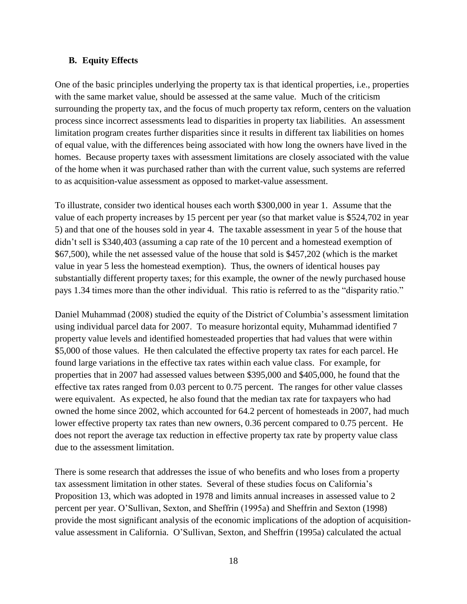## <span id="page-25-0"></span>**B. Equity Effects**

One of the basic principles underlying the property tax is that identical properties, i.e., properties with the same market value, should be assessed at the same value. Much of the criticism surrounding the property tax, and the focus of much property tax reform, centers on the valuation process since incorrect assessments lead to disparities in property tax liabilities. An assessment limitation program creates further disparities since it results in different tax liabilities on homes of equal value, with the differences being associated with how long the owners have lived in the homes. Because property taxes with assessment limitations are closely associated with the value of the home when it was purchased rather than with the current value, such systems are referred to as acquisition-value assessment as opposed to market-value assessment.

To illustrate, consider two identical houses each worth \$300,000 in year 1. Assume that the value of each property increases by 15 percent per year (so that market value is \$524,702 in year 5) and that one of the houses sold in year 4. The taxable assessment in year 5 of the house that didn't sell is \$340,403 (assuming a cap rate of the 10 percent and a homestead exemption of \$67,500), while the net assessed value of the house that sold is \$457,202 (which is the market value in year 5 less the homestead exemption). Thus, the owners of identical houses pay substantially different property taxes; for this example, the owner of the newly purchased house pays 1.34 times more than the other individual. This ratio is referred to as the "disparity ratio."

Daniel Muhammad (2008) studied the equity of the District of Columbia's assessment limitation using individual parcel data for 2007. To measure horizontal equity, Muhammad identified 7 property value levels and identified homesteaded properties that had values that were within \$5,000 of those values. He then calculated the effective property tax rates for each parcel. He found large variations in the effective tax rates within each value class. For example, for properties that in 2007 had assessed values between \$395,000 and \$405,000, he found that the effective tax rates ranged from 0.03 percent to 0.75 percent. The ranges for other value classes were equivalent. As expected, he also found that the median tax rate for taxpayers who had owned the home since 2002, which accounted for 64.2 percent of homesteads in 2007, had much lower effective property tax rates than new owners, 0.36 percent compared to 0.75 percent. He does not report the average tax reduction in effective property tax rate by property value class due to the assessment limitation.

There is some research that addresses the issue of who benefits and who loses from a property tax assessment limitation in other states. Several of these studies focus on California's Proposition 13, which was adopted in 1978 and limits annual increases in assessed value to 2 percent per year. O'Sullivan, Sexton, and Sheffrin (1995a) and Sheffrin and Sexton (1998) provide the most significant analysis of the economic implications of the adoption of acquisitionvalue assessment in California. O'Sullivan, Sexton, and Sheffrin (1995a) calculated the actual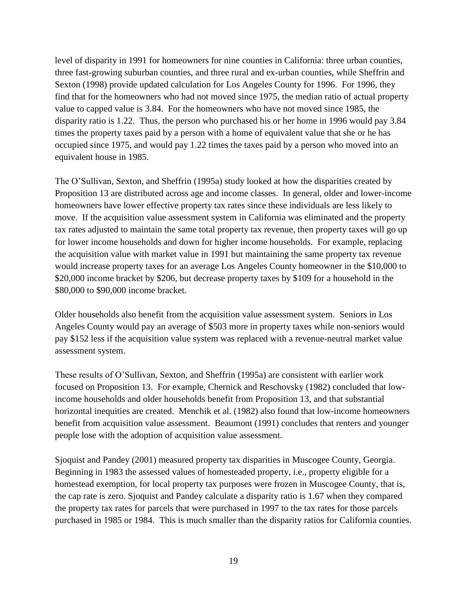level of disparity in 1991 for homeowners for nine counties in California: three urban counties, three fast-growing suburban counties, and three rural and ex-urban counties, while Sheffrin and Sexton (1998) provide updated calculation for Los Angeles County for 1996. For 1996, they find that for the homeowners who had not moved since 1975, the median ratio of actual property value to capped value is 3.84. For the homeowners who have not moved since 1985, the disparity ratio is 1.22. Thus, the person who purchased his or her home in 1996 would pay 3.84 times the property taxes paid by a person with a home of equivalent value that she or he has occupied since 1975, and would pay 1.22 times the taxes paid by a person who moved into an equivalent house in 1985.

The O'Sullivan, Sexton, and Sheffrin (1995a) study looked at how the disparities created by Proposition 13 are distributed across age and income classes. In general, older and lower-income homeowners have lower effective property tax rates since these individuals are less likely to move. If the acquisition value assessment system in California was eliminated and the property tax rates adjusted to maintain the same total property tax revenue, then property taxes will go up for lower income households and down for higher income households. For example, replacing the acquisition value with market value in 1991 but maintaining the same property tax revenue would increase property taxes for an average Los Angeles County homeowner in the \$10,000 to \$20,000 income bracket by \$206, but decrease property taxes by \$109 for a household in the \$80,000 to \$90,000 income bracket.

Older households also benefit from the acquisition value assessment system. Seniors in Los Angeles County would pay an average of \$503 more in property taxes while non-seniors would pay \$152 less if the acquisition value system was replaced with a revenue-neutral market value assessment system.

These results of O'Sullivan, Sexton, and Sheffrin (1995a) are consistent with earlier work focused on Proposition 13. For example, Chernick and Reschovsky (1982) concluded that lowincome households and older households benefit from Proposition 13, and that substantial horizontal inequities are created. Menchik et al. (1982) also found that low-income homeowners benefit from acquisition value assessment. Beaumont (1991) concludes that renters and younger people lose with the adoption of acquisition value assessment.

Sjoquist and Pandey (2001) measured property tax disparities in Muscogee County, Georgia. Beginning in 1983 the assessed values of homesteaded property, i.e., property eligible for a homestead exemption, for local property tax purposes were frozen in Muscogee County, that is, the cap rate is zero. Sjoquist and Pandey calculate a disparity ratio is 1.67 when they compared the property tax rates for parcels that were purchased in 1997 to the tax rates for those parcels purchased in 1985 or 1984. This is much smaller than the disparity ratios for California counties.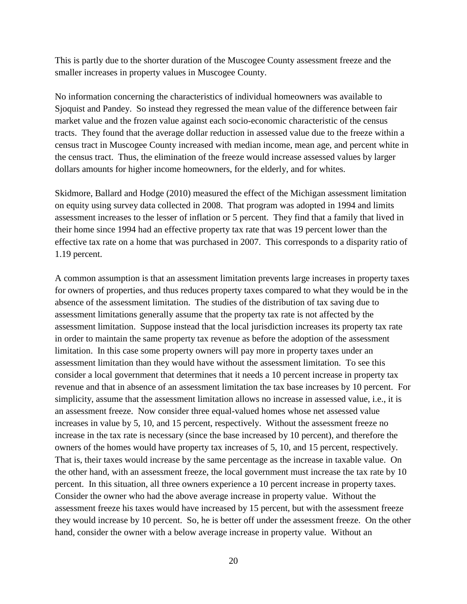This is partly due to the shorter duration of the Muscogee County assessment freeze and the smaller increases in property values in Muscogee County.

No information concerning the characteristics of individual homeowners was available to Sjoquist and Pandey. So instead they regressed the mean value of the difference between fair market value and the frozen value against each socio-economic characteristic of the census tracts. They found that the average dollar reduction in assessed value due to the freeze within a census tract in Muscogee County increased with median income, mean age, and percent white in the census tract. Thus, the elimination of the freeze would increase assessed values by larger dollars amounts for higher income homeowners, for the elderly, and for whites.

Skidmore, Ballard and Hodge (2010) measured the effect of the Michigan assessment limitation on equity using survey data collected in 2008. That program was adopted in 1994 and limits assessment increases to the lesser of inflation or 5 percent. They find that a family that lived in their home since 1994 had an effective property tax rate that was 19 percent lower than the effective tax rate on a home that was purchased in 2007. This corresponds to a disparity ratio of 1.19 percent.

A common assumption is that an assessment limitation prevents large increases in property taxes for owners of properties, and thus reduces property taxes compared to what they would be in the absence of the assessment limitation. The studies of the distribution of tax saving due to assessment limitations generally assume that the property tax rate is not affected by the assessment limitation. Suppose instead that the local jurisdiction increases its property tax rate in order to maintain the same property tax revenue as before the adoption of the assessment limitation. In this case some property owners will pay more in property taxes under an assessment limitation than they would have without the assessment limitation. To see this consider a local government that determines that it needs a 10 percent increase in property tax revenue and that in absence of an assessment limitation the tax base increases by 10 percent. For simplicity, assume that the assessment limitation allows no increase in assessed value, i.e., it is an assessment freeze. Now consider three equal-valued homes whose net assessed value increases in value by 5, 10, and 15 percent, respectively. Without the assessment freeze no increase in the tax rate is necessary (since the base increased by 10 percent), and therefore the owners of the homes would have property tax increases of 5, 10, and 15 percent, respectively. That is, their taxes would increase by the same percentage as the increase in taxable value. On the other hand, with an assessment freeze, the local government must increase the tax rate by 10 percent. In this situation, all three owners experience a 10 percent increase in property taxes. Consider the owner who had the above average increase in property value. Without the assessment freeze his taxes would have increased by 15 percent, but with the assessment freeze they would increase by 10 percent. So, he is better off under the assessment freeze. On the other hand, consider the owner with a below average increase in property value. Without an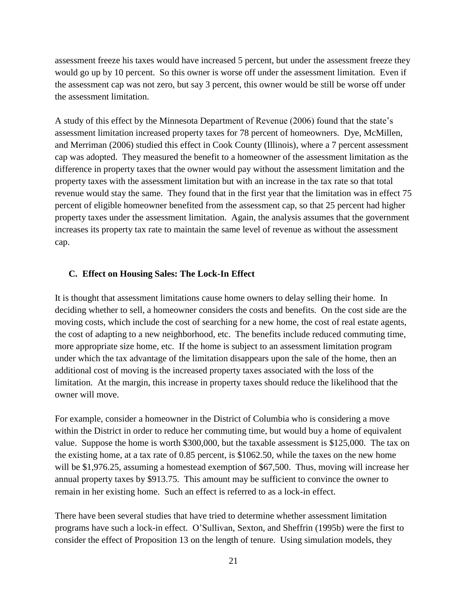assessment freeze his taxes would have increased 5 percent, but under the assessment freeze they would go up by 10 percent. So this owner is worse off under the assessment limitation. Even if the assessment cap was not zero, but say 3 percent, this owner would be still be worse off under the assessment limitation.

A study of this effect by the Minnesota Department of Revenue (2006) found that the state's assessment limitation increased property taxes for 78 percent of homeowners. Dye, McMillen, and Merriman (2006) studied this effect in Cook County (Illinois), where a 7 percent assessment cap was adopted. They measured the benefit to a homeowner of the assessment limitation as the difference in property taxes that the owner would pay without the assessment limitation and the property taxes with the assessment limitation but with an increase in the tax rate so that total revenue would stay the same. They found that in the first year that the limitation was in effect 75 percent of eligible homeowner benefited from the assessment cap, so that 25 percent had higher property taxes under the assessment limitation. Again, the analysis assumes that the government increases its property tax rate to maintain the same level of revenue as without the assessment cap.

#### <span id="page-28-0"></span>**C. Effect on Housing Sales: The Lock-In Effect**

It is thought that assessment limitations cause home owners to delay selling their home. In deciding whether to sell, a homeowner considers the costs and benefits. On the cost side are the moving costs, which include the cost of searching for a new home, the cost of real estate agents, the cost of adapting to a new neighborhood, etc. The benefits include reduced commuting time, more appropriate size home, etc. If the home is subject to an assessment limitation program under which the tax advantage of the limitation disappears upon the sale of the home, then an additional cost of moving is the increased property taxes associated with the loss of the limitation. At the margin, this increase in property taxes should reduce the likelihood that the owner will move.

For example, consider a homeowner in the District of Columbia who is considering a move within the District in order to reduce her commuting time, but would buy a home of equivalent value. Suppose the home is worth \$300,000, but the taxable assessment is \$125,000. The tax on the existing home, at a tax rate of 0.85 percent, is \$1062.50, while the taxes on the new home will be \$1,976.25, assuming a homestead exemption of \$67,500. Thus, moving will increase her annual property taxes by \$913.75. This amount may be sufficient to convince the owner to remain in her existing home. Such an effect is referred to as a lock-in effect.

There have been several studies that have tried to determine whether assessment limitation programs have such a lock-in effect. O'Sullivan, Sexton, and Sheffrin (1995b) were the first to consider the effect of Proposition 13 on the length of tenure. Using simulation models, they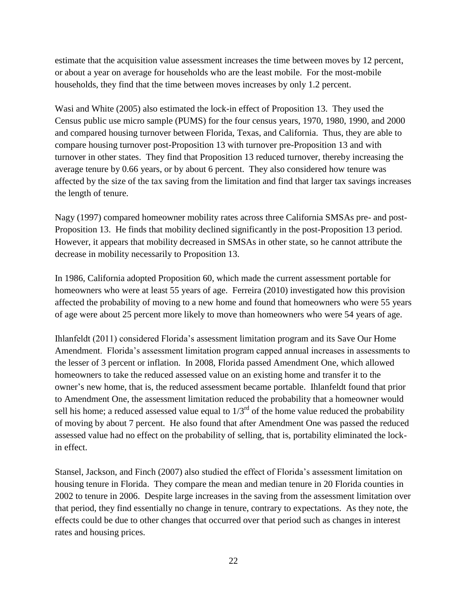estimate that the acquisition value assessment increases the time between moves by 12 percent, or about a year on average for households who are the least mobile. For the most-mobile households, they find that the time between moves increases by only 1.2 percent.

Wasi and White (2005) also estimated the lock-in effect of Proposition 13. They used the Census public use micro sample (PUMS) for the four census years, 1970, 1980, 1990, and 2000 and compared housing turnover between Florida, Texas, and California. Thus, they are able to compare housing turnover post-Proposition 13 with turnover pre-Proposition 13 and with turnover in other states. They find that Proposition 13 reduced turnover, thereby increasing the average tenure by 0.66 years, or by about 6 percent. They also considered how tenure was affected by the size of the tax saving from the limitation and find that larger tax savings increases the length of tenure.

Nagy (1997) compared homeowner mobility rates across three California SMSAs pre- and post-Proposition 13. He finds that mobility declined significantly in the post-Proposition 13 period. However, it appears that mobility decreased in SMSAs in other state, so he cannot attribute the decrease in mobility necessarily to Proposition 13.

In 1986, California adopted Proposition 60, which made the current assessment portable for homeowners who were at least 55 years of age. Ferreira (2010) investigated how this provision affected the probability of moving to a new home and found that homeowners who were 55 years of age were about 25 percent more likely to move than homeowners who were 54 years of age.

Ihlanfeldt (2011) considered Florida's assessment limitation program and its Save Our Home Amendment. Florida's assessment limitation program capped annual increases in assessments to the lesser of 3 percent or inflation. In 2008, Florida passed Amendment One, which allowed homeowners to take the reduced assessed value on an existing home and transfer it to the owner's new home, that is, the reduced assessment became portable. Ihlanfeldt found that prior to Amendment One, the assessment limitation reduced the probability that a homeowner would sell his home; a reduced assessed value equal to  $1/3<sup>rd</sup>$  of the home value reduced the probability of moving by about 7 percent. He also found that after Amendment One was passed the reduced assessed value had no effect on the probability of selling, that is, portability eliminated the lockin effect.

Stansel, Jackson, and Finch (2007) also studied the effect of Florida's assessment limitation on housing tenure in Florida. They compare the mean and median tenure in 20 Florida counties in 2002 to tenure in 2006. Despite large increases in the saving from the assessment limitation over that period, they find essentially no change in tenure, contrary to expectations. As they note, the effects could be due to other changes that occurred over that period such as changes in interest rates and housing prices.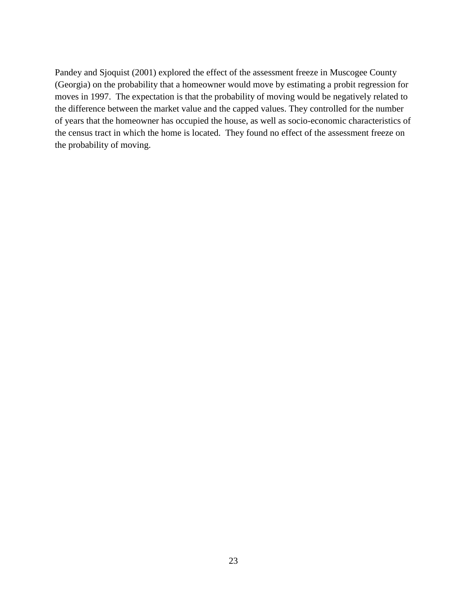Pandey and Sjoquist (2001) explored the effect of the assessment freeze in Muscogee County (Georgia) on the probability that a homeowner would move by estimating a probit regression for moves in 1997. The expectation is that the probability of moving would be negatively related to the difference between the market value and the capped values. They controlled for the number of years that the homeowner has occupied the house, as well as socio-economic characteristics of the census tract in which the home is located. They found no effect of the assessment freeze on the probability of moving.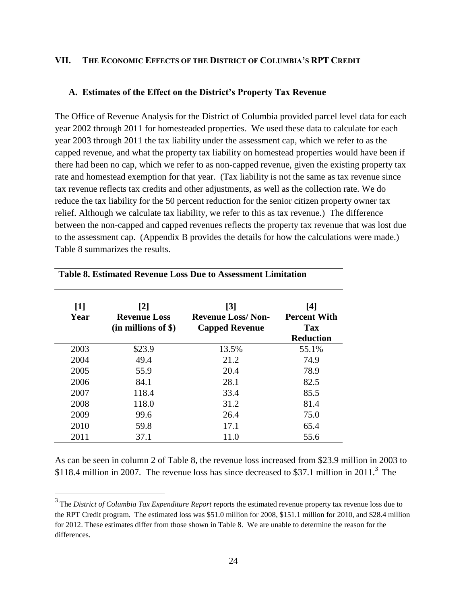## <span id="page-31-0"></span>**VII. THE ECONOMIC EFFECTS OF THE DISTRICT OF COLUMBIA'S RPT CREDIT**

#### <span id="page-31-1"></span>**A. Estimates of the Effect on the District's Property Tax Revenue**

The Office of Revenue Analysis for the District of Columbia provided parcel level data for each year 2002 through 2011 for homesteaded properties. We used these data to calculate for each year 2003 through 2011 the tax liability under the assessment cap, which we refer to as the capped revenue, and what the property tax liability on homestead properties would have been if there had been no cap, which we refer to as non-capped revenue, given the existing property tax rate and homestead exemption for that year. (Tax liability is not the same as tax revenue since tax revenue reflects tax credits and other adjustments, as well as the collection rate. We do reduce the tax liability for the 50 percent reduction for the senior citizen property owner tax relief. Although we calculate tax liability, we refer to this as tax revenue.) The difference between the non-capped and capped revenues reflects the property tax revenue that was lost due to the assessment cap. (Appendix B provides the details for how the calculations were made.) Table 8 summarizes the results.

| $\lceil 1 \rceil$<br>Year | $\lceil 2 \rceil$<br><b>Revenue Loss</b><br>$(in$ millions of \$) | $\lceil 3 \rceil$<br><b>Revenue Loss/Non-</b><br><b>Capped Revenue</b> | [4]<br><b>Percent With</b><br><b>Tax</b><br><b>Reduction</b> |
|---------------------------|-------------------------------------------------------------------|------------------------------------------------------------------------|--------------------------------------------------------------|
| 2003                      | \$23.9                                                            | 13.5%                                                                  | 55.1%                                                        |
| 2004                      | 49.4                                                              | 21.2                                                                   | 74.9                                                         |
| 2005                      | 55.9                                                              | 20.4                                                                   | 78.9                                                         |
| 2006                      | 84.1                                                              | 28.1                                                                   | 82.5                                                         |
| 2007                      | 118.4                                                             | 33.4                                                                   | 85.5                                                         |
| 2008                      | 118.0                                                             | 31.2                                                                   | 81.4                                                         |
| 2009                      | 99.6                                                              | 26.4                                                                   | 75.0                                                         |
| 2010                      | 59.8                                                              | 17.1                                                                   | 65.4                                                         |
| 2011                      | 37.1                                                              | 11.0                                                                   | 55.6                                                         |

## **Table 8. Estimated Revenue Loss Due to Assessment Limitation**

As can be seen in column 2 of Table 8, the revenue loss increased from \$23.9 million in 2003 to \$118.4 million in 2007. The revenue loss has since decreased to \$37.1 million in 2011.<sup>3</sup> The

<sup>&</sup>lt;sup>3</sup> The *District of Columbia Tax Expenditure Report* reports the estimated revenue property tax revenue loss due to the RPT Credit program. The estimated loss was \$51.0 million for 2008, \$151.1 million for 2010, and \$28.4 million for 2012. These estimates differ from those shown in Table 8. We are unable to determine the reason for the differences.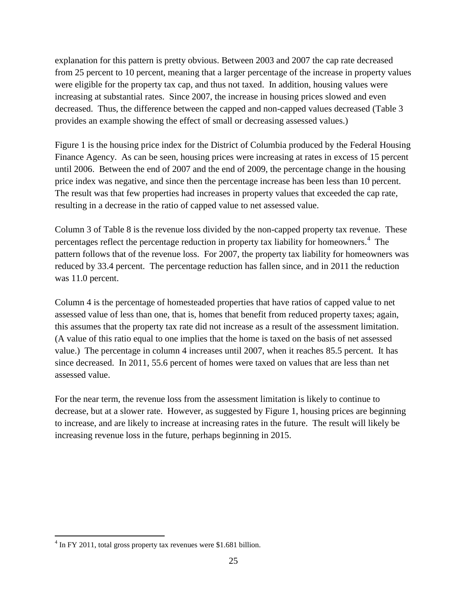explanation for this pattern is pretty obvious. Between 2003 and 2007 the cap rate decreased from 25 percent to 10 percent, meaning that a larger percentage of the increase in property values were eligible for the property tax cap, and thus not taxed. In addition, housing values were increasing at substantial rates. Since 2007, the increase in housing prices slowed and even decreased. Thus, the difference between the capped and non-capped values decreased (Table 3 provides an example showing the effect of small or decreasing assessed values.)

Figure 1 is the housing price index for the District of Columbia produced by the Federal Housing Finance Agency. As can be seen, housing prices were increasing at rates in excess of 15 percent until 2006. Between the end of 2007 and the end of 2009, the percentage change in the housing price index was negative, and since then the percentage increase has been less than 10 percent. The result was that few properties had increases in property values that exceeded the cap rate, resulting in a decrease in the ratio of capped value to net assessed value.

Column 3 of Table 8 is the revenue loss divided by the non-capped property tax revenue. These percentages reflect the percentage reduction in property tax liability for homeowners.<sup>4</sup> The pattern follows that of the revenue loss. For 2007, the property tax liability for homeowners was reduced by 33.4 percent. The percentage reduction has fallen since, and in 2011 the reduction was 11.0 percent.

Column 4 is the percentage of homesteaded properties that have ratios of capped value to net assessed value of less than one, that is, homes that benefit from reduced property taxes; again, this assumes that the property tax rate did not increase as a result of the assessment limitation. (A value of this ratio equal to one implies that the home is taxed on the basis of net assessed value.) The percentage in column 4 increases until 2007, when it reaches 85.5 percent. It has since decreased. In 2011, 55.6 percent of homes were taxed on values that are less than net assessed value.

For the near term, the revenue loss from the assessment limitation is likely to continue to decrease, but at a slower rate. However, as suggested by Figure 1, housing prices are beginning to increase, and are likely to increase at increasing rates in the future. The result will likely be increasing revenue loss in the future, perhaps beginning in 2015.

 $\overline{a}$ 

 $4 \text{ In FY } 2011$ , total gross property tax revenues were \$1.681 billion.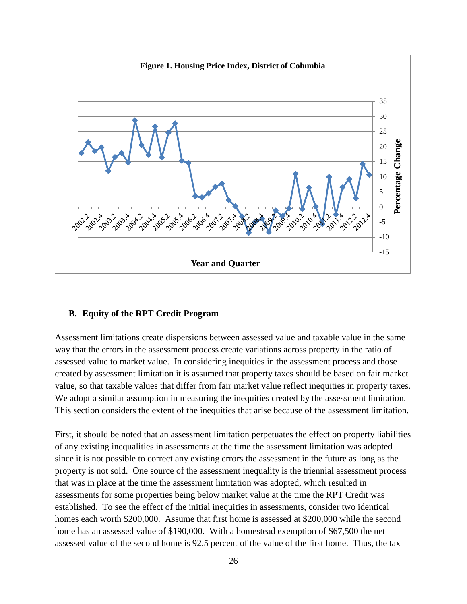

#### <span id="page-33-0"></span>**B. Equity of the RPT Credit Program**

Assessment limitations create dispersions between assessed value and taxable value in the same way that the errors in the assessment process create variations across property in the ratio of assessed value to market value. In considering inequities in the assessment process and those created by assessment limitation it is assumed that property taxes should be based on fair market value, so that taxable values that differ from fair market value reflect inequities in property taxes. We adopt a similar assumption in measuring the inequities created by the assessment limitation. This section considers the extent of the inequities that arise because of the assessment limitation.

First, it should be noted that an assessment limitation perpetuates the effect on property liabilities of any existing inequalities in assessments at the time the assessment limitation was adopted since it is not possible to correct any existing errors the assessment in the future as long as the property is not sold. One source of the assessment inequality is the triennial assessment process that was in place at the time the assessment limitation was adopted, which resulted in assessments for some properties being below market value at the time the RPT Credit was established. To see the effect of the initial inequities in assessments, consider two identical homes each worth \$200,000. Assume that first home is assessed at \$200,000 while the second home has an assessed value of \$190,000. With a homestead exemption of \$67,500 the net assessed value of the second home is 92.5 percent of the value of the first home. Thus, the tax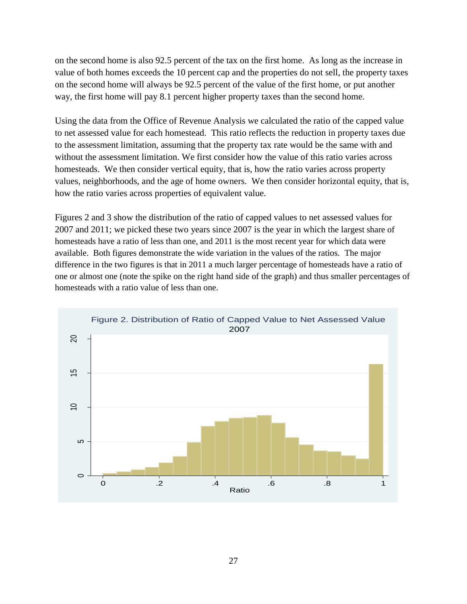on the second home is also 92.5 percent of the tax on the first home. As long as the increase in value of both homes exceeds the 10 percent cap and the properties do not sell, the property taxes on the second home will always be 92.5 percent of the value of the first home, or put another way, the first home will pay 8.1 percent higher property taxes than the second home.

Using the data from the Office of Revenue Analysis we calculated the ratio of the capped value to net assessed value for each homestead. This ratio reflects the reduction in property taxes due to the assessment limitation, assuming that the property tax rate would be the same with and without the assessment limitation. We first consider how the value of this ratio varies across homesteads. We then consider vertical equity, that is, how the ratio varies across property values, neighborhoods, and the age of home owners. We then consider horizontal equity, that is, how the ratio varies across properties of equivalent value.

Figures 2 and 3 show the distribution of the ratio of capped values to net assessed values for 2007 and 2011; we picked these two years since 2007 is the year in which the largest share of homesteads have a ratio of less than one, and 2011 is the most recent year for which data were available. Both figures demonstrate the wide variation in the values of the ratios. The major difference in the two figures is that in 2011 a much larger percentage of homesteads have a ratio of one or almost one (note the spike on the right hand side of the graph) and thus smaller percentages of homesteads with a ratio value of less than one.

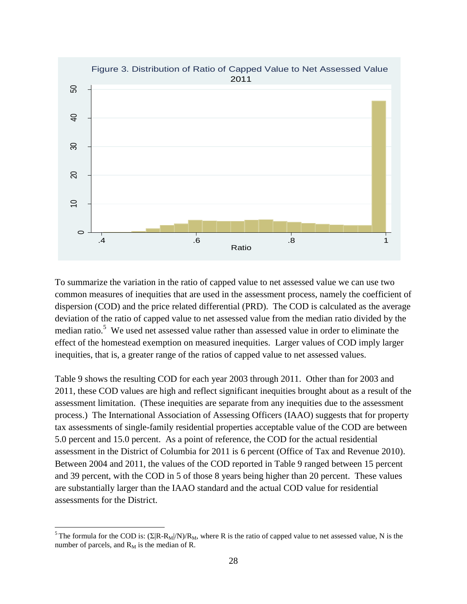

To summarize the variation in the ratio of capped value to net assessed value we can use two common measures of inequities that are used in the assessment process, namely the coefficient of dispersion (COD) and the price related differential (PRD). The COD is calculated as the average deviation of the ratio of capped value to net assessed value from the median ratio divided by the median ratio.<sup>5</sup> We used net assessed value rather than assessed value in order to eliminate the effect of the homestead exemption on measured inequities. Larger values of COD imply larger inequities, that is, a greater range of the ratios of capped value to net assessed values.

Table 9 shows the resulting COD for each year 2003 through 2011. Other than for 2003 and 2011, these COD values are high and reflect significant inequities brought about as a result of the assessment limitation. (These inequities are separate from any inequities due to the assessment process.) The International Association of Assessing Officers (IAAO) suggests that for property tax assessments of single-family residential properties acceptable value of the COD are between 5.0 percent and 15.0 percent. As a point of reference, the COD for the actual residential assessment in the District of Columbia for 2011 is 6 percent (Office of Tax and Revenue 2010). Between 2004 and 2011, the values of the COD reported in Table 9 ranged between 15 percent and 39 percent, with the COD in 5 of those 8 years being higher than 20 percent. These values are substantially larger than the IAAO standard and the actual COD value for residential assessments for the District.

 $\overline{a}$ 

<sup>&</sup>lt;sup>5</sup> The formula for the COD is:  $(\Sigma |R-R_M|/N)/R_M$ , where R is the ratio of capped value to net assessed value, N is the number of parcels, and  $R_M$  is the median of R.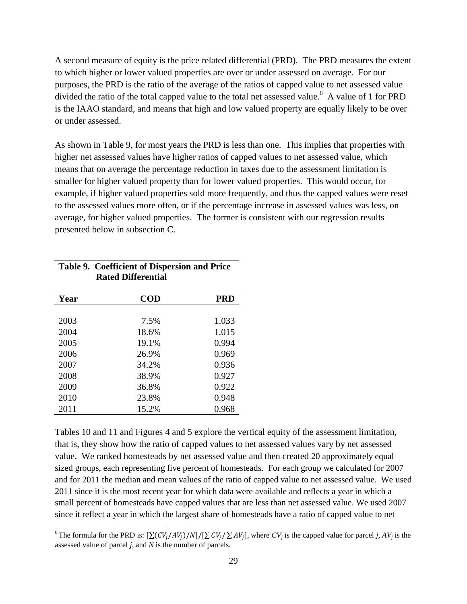A second measure of equity is the price related differential (PRD). The PRD measures the extent to which higher or lower valued properties are over or under assessed on average. For our purposes, the PRD is the ratio of the average of the ratios of capped value to net assessed value divided the ratio of the total capped value to the total net assessed value.<sup>6</sup> A value of 1 for PRD is the IAAO standard, and means that high and low valued property are equally likely to be over or under assessed.

As shown in Table 9, for most years the PRD is less than one. This implies that properties with higher net assessed values have higher ratios of capped values to net assessed value, which means that on average the percentage reduction in taxes due to the assessment limitation is smaller for higher valued property than for lower valued properties. This would occur, for example, if higher valued properties sold more frequently, and thus the capped values were reset to the assessed values more often, or if the percentage increase in assessed values was less, on average, for higher valued properties. The former is consistent with our regression results presented below in subsection C.

| Year | <b>COD</b> | <b>PRD</b> |
|------|------------|------------|
|      |            |            |
| 2003 | 7.5%       | 1.033      |
| 2004 | 18.6%      | 1.015      |
| 2005 | 19.1%      | 0.994      |
| 2006 | 26.9%      | 0.969      |
| 2007 | 34.2%      | 0.936      |
| 2008 | 38.9%      | 0.927      |
| 2009 | 36.8%      | 0.922      |
| 2010 | 23.8%      | 0.948      |
| 2011 | 15.2%      | 0.968      |

 $\overline{a}$ 

## **Table 9. Coefficient of Dispersion and Price Rated Differential**

Tables 10 and 11 and Figures 4 and 5 explore the vertical equity of the assessment limitation, that is, they show how the ratio of capped values to net assessed values vary by net assessed value. We ranked homesteads by net assessed value and then created 20 approximately equal sized groups, each representing five percent of homesteads. For each group we calculated for 2007 and for 2011 the median and mean values of the ratio of capped value to net assessed value. We used 2011 since it is the most recent year for which data were available and reflects a year in which a small percent of homesteads have capped values that are less than net assessed value. We used 2007 since it reflect a year in which the largest share of homesteads have a ratio of capped value to net

<sup>&</sup>lt;sup>6</sup>The formula for the PRD is:  $[\sum (CV_i/AV_i)/N]/[\sum CV_i/\sum AV_i]$ , where  $CV_j$  is the capped value for parcel *j*,  $AV_j$  is the assessed value of parcel *j*, and *N* is the number of parcels.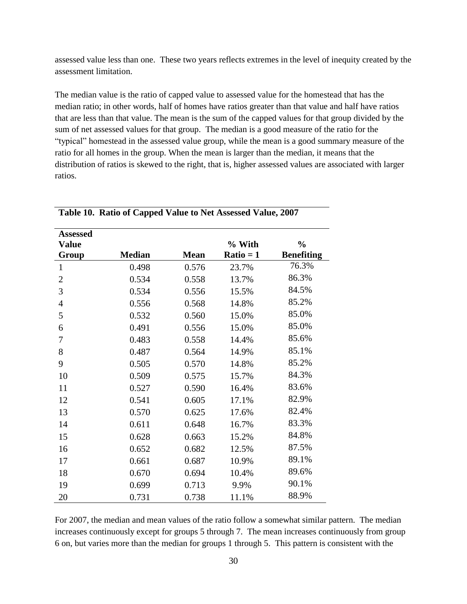assessed value less than one. These two years reflects extremes in the level of inequity created by the assessment limitation.

The median value is the ratio of capped value to assessed value for the homestead that has the median ratio; in other words, half of homes have ratios greater than that value and half have ratios that are less than that value. The mean is the sum of the capped values for that group divided by the sum of net assessed values for that group. The median is a good measure of the ratio for the ―typical‖ homestead in the assessed value group, while the mean is a good summary measure of the ratio for all homes in the group. When the mean is larger than the median, it means that the distribution of ratios is skewed to the right, that is, higher assessed values are associated with larger ratios.

| <b>Assessed</b>       |               |             |                       |                                    |
|-----------------------|---------------|-------------|-----------------------|------------------------------------|
| <b>Value</b><br>Group | <b>Median</b> | <b>Mean</b> | % With<br>$Ratio = 1$ | $\frac{0}{0}$<br><b>Benefiting</b> |
| 1                     | 0.498         | 0.576       | 23.7%                 | 76.3%                              |
| $\overline{2}$        | 0.534         | 0.558       | 13.7%                 | 86.3%                              |
| 3                     | 0.534         | 0.556       | 15.5%                 | 84.5%                              |
| $\overline{4}$        | 0.556         | 0.568       | 14.8%                 | 85.2%                              |
| 5                     | 0.532         | 0.560       | 15.0%                 | 85.0%                              |
| 6                     | 0.491         | 0.556       | 15.0%                 | 85.0%                              |
| 7                     | 0.483         | 0.558       | 14.4%                 | 85.6%                              |
| 8                     | 0.487         | 0.564       | 14.9%                 | 85.1%                              |
| 9                     | 0.505         | 0.570       | 14.8%                 | 85.2%                              |
| 10                    | 0.509         | 0.575       | 15.7%                 | 84.3%                              |
| 11                    | 0.527         | 0.590       | 16.4%                 | 83.6%                              |
| 12                    | 0.541         | 0.605       | 17.1%                 | 82.9%                              |
| 13                    | 0.570         | 0.625       | 17.6%                 | 82.4%                              |
| 14                    | 0.611         | 0.648       | 16.7%                 | 83.3%                              |
| 15                    | 0.628         | 0.663       | 15.2%                 | 84.8%                              |
| 16                    | 0.652         | 0.682       | 12.5%                 | 87.5%                              |
| 17                    | 0.661         | 0.687       | 10.9%                 | 89.1%                              |
| 18                    | 0.670         | 0.694       | 10.4%                 | 89.6%                              |
| 19                    | 0.699         | 0.713       | 9.9%                  | 90.1%                              |
| 20                    | 0.731         | 0.738       | 11.1%                 | 88.9%                              |

**Table 10. Ratio of Capped Value to Net Assessed Value, 2007**

For 2007, the median and mean values of the ratio follow a somewhat similar pattern. The median increases continuously except for groups 5 through 7. The mean increases continuously from group 6 on, but varies more than the median for groups 1 through 5. This pattern is consistent with the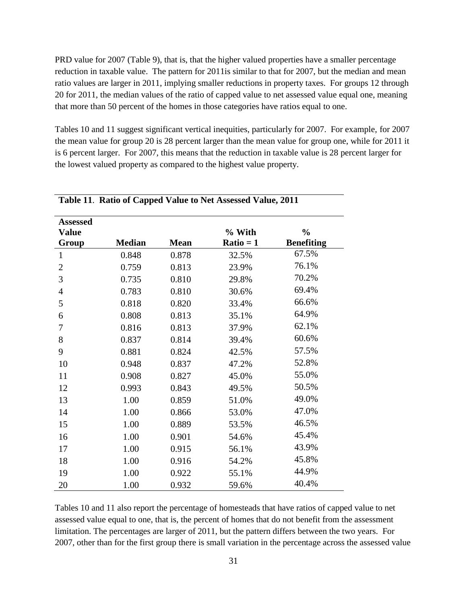PRD value for 2007 (Table 9), that is, that the higher valued properties have a smaller percentage reduction in taxable value. The pattern for 2011is similar to that for 2007, but the median and mean ratio values are larger in 2011, implying smaller reductions in property taxes. For groups 12 through 20 for 2011, the median values of the ratio of capped value to net assessed value equal one, meaning that more than 50 percent of the homes in those categories have ratios equal to one.

Tables 10 and 11 suggest significant vertical inequities, particularly for 2007. For example, for 2007 the mean value for group 20 is 28 percent larger than the mean value for group one, while for 2011 it is 6 percent larger. For 2007, this means that the reduction in taxable value is 28 percent larger for the lowest valued property as compared to the highest value property.

| <b>Assessed</b>       |               |             |                       |                                    |
|-----------------------|---------------|-------------|-----------------------|------------------------------------|
| <b>Value</b><br>Group | <b>Median</b> | <b>Mean</b> | % With<br>$Ratio = 1$ | $\frac{0}{0}$<br><b>Benefiting</b> |
| $\mathbf{1}$          | 0.848         | 0.878       | 32.5%                 | 67.5%                              |
| $\overline{2}$        | 0.759         | 0.813       | 23.9%                 | 76.1%                              |
| 3                     | 0.735         | 0.810       | 29.8%                 | 70.2%                              |
| $\overline{4}$        | 0.783         | 0.810       | 30.6%                 | 69.4%                              |
| 5                     | 0.818         | 0.820       | 33.4%                 | 66.6%                              |
| 6                     | 0.808         | 0.813       | 35.1%                 | 64.9%                              |
| 7                     | 0.816         | 0.813       | 37.9%                 | 62.1%                              |
| 8                     | 0.837         | 0.814       | 39.4%                 | 60.6%                              |
| 9                     | 0.881         | 0.824       | 42.5%                 | 57.5%                              |
| 10                    | 0.948         | 0.837       | 47.2%                 | 52.8%                              |
| 11                    | 0.908         | 0.827       | 45.0%                 | 55.0%                              |
| 12                    | 0.993         | 0.843       | 49.5%                 | 50.5%                              |
| 13                    | 1.00          | 0.859       | 51.0%                 | 49.0%                              |
| 14                    | 1.00          | 0.866       | 53.0%                 | 47.0%                              |
| 15                    | 1.00          | 0.889       | 53.5%                 | 46.5%                              |
| 16                    | 1.00          | 0.901       | 54.6%                 | 45.4%                              |
| 17                    | 1.00          | 0.915       | 56.1%                 | 43.9%                              |
| 18                    | 1.00          | 0.916       | 54.2%                 | 45.8%                              |
| 19                    | 1.00          | 0.922       | 55.1%                 | 44.9%                              |
| 20                    | 1.00          | 0.932       | 59.6%                 | 40.4%                              |

## **Table 11**. **Ratio of Capped Value to Net Assessed Value, 2011**

Tables 10 and 11 also report the percentage of homesteads that have ratios of capped value to net assessed value equal to one, that is, the percent of homes that do not benefit from the assessment limitation. The percentages are larger of 2011, but the pattern differs between the two years. For 2007, other than for the first group there is small variation in the percentage across the assessed value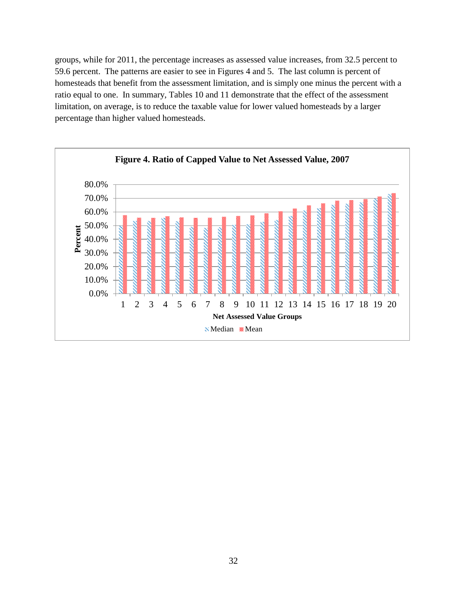groups, while for 2011, the percentage increases as assessed value increases, from 32.5 percent to 59.6 percent. The patterns are easier to see in Figures 4 and 5. The last column is percent of homesteads that benefit from the assessment limitation, and is simply one minus the percent with a ratio equal to one. In summary, Tables 10 and 11 demonstrate that the effect of the assessment limitation, on average, is to reduce the taxable value for lower valued homesteads by a larger percentage than higher valued homesteads.

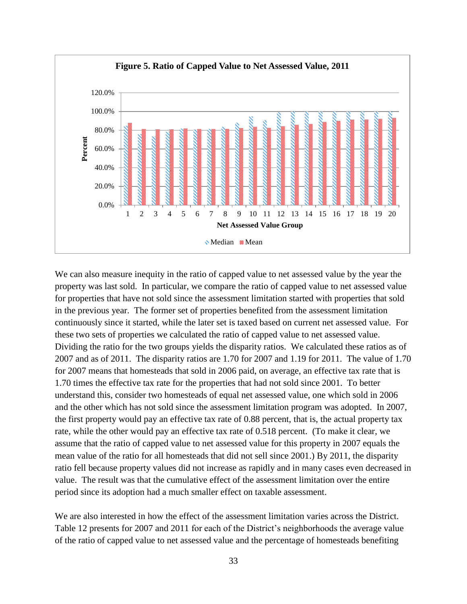

We can also measure inequity in the ratio of capped value to net assessed value by the year the property was last sold. In particular, we compare the ratio of capped value to net assessed value for properties that have not sold since the assessment limitation started with properties that sold in the previous year. The former set of properties benefited from the assessment limitation continuously since it started, while the later set is taxed based on current net assessed value. For these two sets of properties we calculated the ratio of capped value to net assessed value. Dividing the ratio for the two groups yields the disparity ratios. We calculated these ratios as of 2007 and as of 2011. The disparity ratios are 1.70 for 2007 and 1.19 for 2011. The value of 1.70 for 2007 means that homesteads that sold in 2006 paid, on average, an effective tax rate that is 1.70 times the effective tax rate for the properties that had not sold since 2001. To better understand this, consider two homesteads of equal net assessed value, one which sold in 2006 and the other which has not sold since the assessment limitation program was adopted. In 2007, the first property would pay an effective tax rate of 0.88 percent, that is, the actual property tax rate, while the other would pay an effective tax rate of 0.518 percent. (To make it clear, we assume that the ratio of capped value to net assessed value for this property in 2007 equals the mean value of the ratio for all homesteads that did not sell since 2001.) By 2011, the disparity ratio fell because property values did not increase as rapidly and in many cases even decreased in value. The result was that the cumulative effect of the assessment limitation over the entire period since its adoption had a much smaller effect on taxable assessment.

We are also interested in how the effect of the assessment limitation varies across the District. Table 12 presents for 2007 and 2011 for each of the District's neighborhoods the average value of the ratio of capped value to net assessed value and the percentage of homesteads benefiting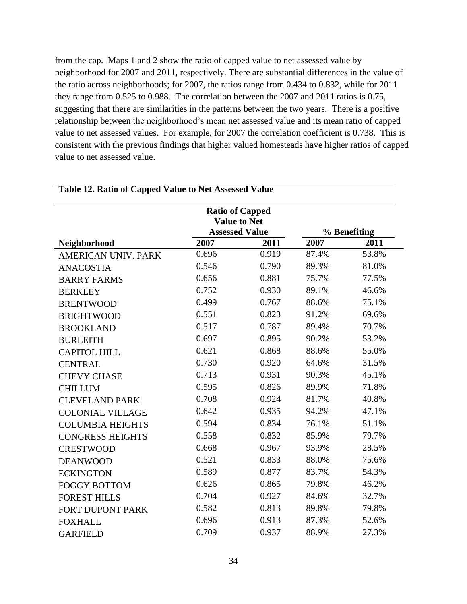from the cap. Maps 1 and 2 show the ratio of capped value to net assessed value by neighborhood for 2007 and 2011, respectively. There are substantial differences in the value of the ratio across neighborhoods; for 2007, the ratios range from 0.434 to 0.832, while for 2011 they range from 0.525 to 0.988. The correlation between the 2007 and 2011 ratios is 0.75, suggesting that there are similarities in the patterns between the two years. There is a positive relationship between the neighborhood's mean net assessed value and its mean ratio of capped value to net assessed values. For example, for 2007 the correlation coefficient is 0.738. This is consistent with the previous findings that higher valued homesteads have higher ratios of capped value to net assessed value.

|                            | <b>Ratio of Capped</b><br><b>Value to Net</b><br><b>Assessed Value</b> |       | % Benefiting |       |
|----------------------------|------------------------------------------------------------------------|-------|--------------|-------|
| Neighborhood               | 2007                                                                   | 2011  | 2007         | 2011  |
| <b>AMERICAN UNIV. PARK</b> | 0.696                                                                  | 0.919 | 87.4%        | 53.8% |
| <b>ANACOSTIA</b>           | 0.546                                                                  | 0.790 | 89.3%        | 81.0% |
| <b>BARRY FARMS</b>         | 0.656                                                                  | 0.881 | 75.7%        | 77.5% |
| <b>BERKLEY</b>             | 0.752                                                                  | 0.930 | 89.1%        | 46.6% |
| <b>BRENTWOOD</b>           | 0.499                                                                  | 0.767 | 88.6%        | 75.1% |
| <b>BRIGHTWOOD</b>          | 0.551                                                                  | 0.823 | 91.2%        | 69.6% |
| <b>BROOKLAND</b>           | 0.517                                                                  | 0.787 | 89.4%        | 70.7% |
| <b>BURLEITH</b>            | 0.697                                                                  | 0.895 | 90.2%        | 53.2% |
| <b>CAPITOL HILL</b>        | 0.621                                                                  | 0.868 | 88.6%        | 55.0% |
| <b>CENTRAL</b>             | 0.730                                                                  | 0.920 | 64.6%        | 31.5% |
| <b>CHEVY CHASE</b>         | 0.713                                                                  | 0.931 | 90.3%        | 45.1% |
| <b>CHILLUM</b>             | 0.595                                                                  | 0.826 | 89.9%        | 71.8% |
| <b>CLEVELAND PARK</b>      | 0.708                                                                  | 0.924 | 81.7%        | 40.8% |
| <b>COLONIAL VILLAGE</b>    | 0.642                                                                  | 0.935 | 94.2%        | 47.1% |
| <b>COLUMBIA HEIGHTS</b>    | 0.594                                                                  | 0.834 | 76.1%        | 51.1% |
| <b>CONGRESS HEIGHTS</b>    | 0.558                                                                  | 0.832 | 85.9%        | 79.7% |
| <b>CRESTWOOD</b>           | 0.668                                                                  | 0.967 | 93.9%        | 28.5% |
| <b>DEANWOOD</b>            | 0.521                                                                  | 0.833 | 88.0%        | 75.6% |
| <b>ECKINGTON</b>           | 0.589                                                                  | 0.877 | 83.7%        | 54.3% |
| <b>FOGGY BOTTOM</b>        | 0.626                                                                  | 0.865 | 79.8%        | 46.2% |
| <b>FOREST HILLS</b>        | 0.704                                                                  | 0.927 | 84.6%        | 32.7% |
| FORT DUPONT PARK           | 0.582                                                                  | 0.813 | 89.8%        | 79.8% |
| <b>FOXHALL</b>             | 0.696                                                                  | 0.913 | 87.3%        | 52.6% |
| <b>GARFIELD</b>            | 0.709                                                                  | 0.937 | 88.9%        | 27.3% |

# **Table 12. Ratio of Capped Value to Net Assessed Value**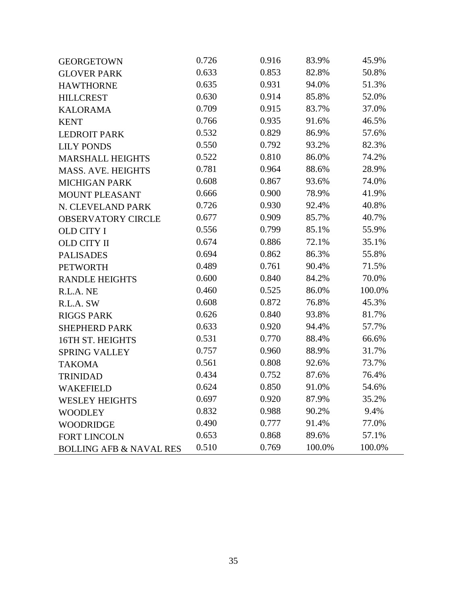| <b>GEORGETOWN</b>                  | 0.726 | 0.916 | 83.9%  | 45.9%  |
|------------------------------------|-------|-------|--------|--------|
| <b>GLOVER PARK</b>                 | 0.633 | 0.853 | 82.8%  | 50.8%  |
| <b>HAWTHORNE</b>                   | 0.635 | 0.931 | 94.0%  | 51.3%  |
| <b>HILLCREST</b>                   | 0.630 | 0.914 | 85.8%  | 52.0%  |
| <b>KALORAMA</b>                    | 0.709 | 0.915 | 83.7%  | 37.0%  |
| <b>KENT</b>                        | 0.766 | 0.935 | 91.6%  | 46.5%  |
| <b>LEDROIT PARK</b>                | 0.532 | 0.829 | 86.9%  | 57.6%  |
| <b>LILY PONDS</b>                  | 0.550 | 0.792 | 93.2%  | 82.3%  |
| <b>MARSHALL HEIGHTS</b>            | 0.522 | 0.810 | 86.0%  | 74.2%  |
| <b>MASS. AVE. HEIGHTS</b>          | 0.781 | 0.964 | 88.6%  | 28.9%  |
| <b>MICHIGAN PARK</b>               | 0.608 | 0.867 | 93.6%  | 74.0%  |
| <b>MOUNT PLEASANT</b>              | 0.666 | 0.900 | 78.9%  | 41.9%  |
| N. CLEVELAND PARK                  | 0.726 | 0.930 | 92.4%  | 40.8%  |
| <b>OBSERVATORY CIRCLE</b>          | 0.677 | 0.909 | 85.7%  | 40.7%  |
| <b>OLD CITY I</b>                  | 0.556 | 0.799 | 85.1%  | 55.9%  |
| <b>OLD CITY II</b>                 | 0.674 | 0.886 | 72.1%  | 35.1%  |
| <b>PALISADES</b>                   | 0.694 | 0.862 | 86.3%  | 55.8%  |
| <b>PETWORTH</b>                    | 0.489 | 0.761 | 90.4%  | 71.5%  |
| <b>RANDLE HEIGHTS</b>              | 0.600 | 0.840 | 84.2%  | 70.0%  |
| R.L.A. NE                          | 0.460 | 0.525 | 86.0%  | 100.0% |
| R.L.A. SW                          | 0.608 | 0.872 | 76.8%  | 45.3%  |
| <b>RIGGS PARK</b>                  | 0.626 | 0.840 | 93.8%  | 81.7%  |
| <b>SHEPHERD PARK</b>               | 0.633 | 0.920 | 94.4%  | 57.7%  |
| 16TH ST. HEIGHTS                   | 0.531 | 0.770 | 88.4%  | 66.6%  |
| <b>SPRING VALLEY</b>               | 0.757 | 0.960 | 88.9%  | 31.7%  |
| <b>TAKOMA</b>                      | 0.561 | 0.808 | 92.6%  | 73.7%  |
| <b>TRINIDAD</b>                    | 0.434 | 0.752 | 87.6%  | 76.4%  |
| <b>WAKEFIELD</b>                   | 0.624 | 0.850 | 91.0%  | 54.6%  |
| <b>WESLEY HEIGHTS</b>              | 0.697 | 0.920 | 87.9%  | 35.2%  |
| <b>WOODLEY</b>                     | 0.832 | 0.988 | 90.2%  | 9.4%   |
| <b>WOODRIDGE</b>                   | 0.490 | 0.777 | 91.4%  | 77.0%  |
| <b>FORT LINCOLN</b>                | 0.653 | 0.868 | 89.6%  | 57.1%  |
| <b>BOLLING AFB &amp; NAVAL RES</b> | 0.510 | 0.769 | 100.0% | 100.0% |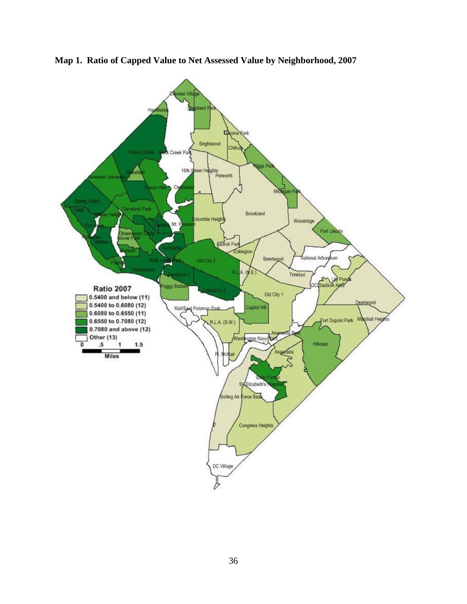

**Map 1. Ratio of Capped Value to Net Assessed Value by Neighborhood, 2007**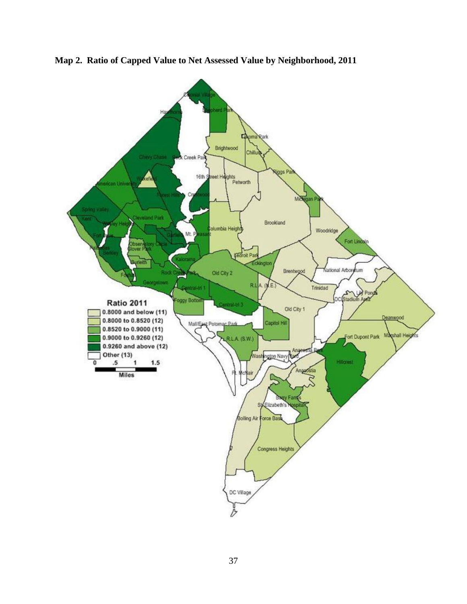

**Map 2. Ratio of Capped Value to Net Assessed Value by Neighborhood, 2011**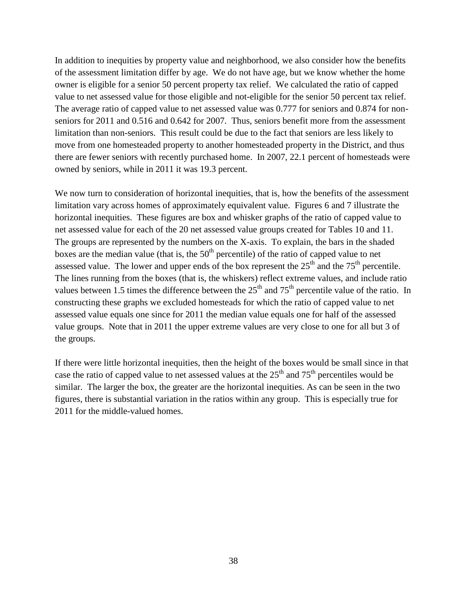In addition to inequities by property value and neighborhood, we also consider how the benefits of the assessment limitation differ by age. We do not have age, but we know whether the home owner is eligible for a senior 50 percent property tax relief. We calculated the ratio of capped value to net assessed value for those eligible and not-eligible for the senior 50 percent tax relief. The average ratio of capped value to net assessed value was 0.777 for seniors and 0.874 for nonseniors for 2011 and 0.516 and 0.642 for 2007. Thus, seniors benefit more from the assessment limitation than non-seniors. This result could be due to the fact that seniors are less likely to move from one homesteaded property to another homesteaded property in the District, and thus there are fewer seniors with recently purchased home. In 2007, 22.1 percent of homesteads were owned by seniors, while in 2011 it was 19.3 percent.

We now turn to consideration of horizontal inequities, that is, how the benefits of the assessment limitation vary across homes of approximately equivalent value. Figures 6 and 7 illustrate the horizontal inequities. These figures are box and whisker graphs of the ratio of capped value to net assessed value for each of the 20 net assessed value groups created for Tables 10 and 11. The groups are represented by the numbers on the X-axis. To explain, the bars in the shaded boxes are the median value (that is, the  $50<sup>th</sup>$  percentile) of the ratio of capped value to net assessed value. The lower and upper ends of the box represent the  $25<sup>th</sup>$  and the  $75<sup>th</sup>$  percentile. The lines running from the boxes (that is, the whiskers) reflect extreme values, and include ratio values between 1.5 times the difference between the  $25<sup>th</sup>$  and  $75<sup>th</sup>$  percentile value of the ratio. In constructing these graphs we excluded homesteads for which the ratio of capped value to net assessed value equals one since for 2011 the median value equals one for half of the assessed value groups. Note that in 2011 the upper extreme values are very close to one for all but 3 of the groups.

If there were little horizontal inequities, then the height of the boxes would be small since in that case the ratio of capped value to net assessed values at the  $25<sup>th</sup>$  and  $75<sup>th</sup>$  percentiles would be similar. The larger the box, the greater are the horizontal inequities. As can be seen in the two figures, there is substantial variation in the ratios within any group. This is especially true for 2011 for the middle-valued homes.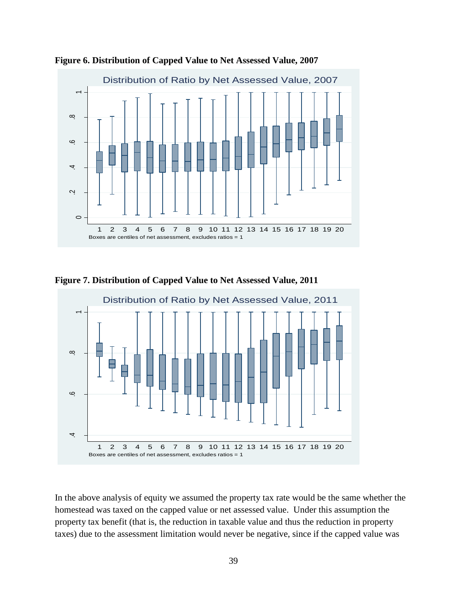

**Figure 6. Distribution of Capped Value to Net Assessed Value, 2007**

**Figure 7. Distribution of Capped Value to Net Assessed Value, 2011**



In the above analysis of equity we assumed the property tax rate would be the same whether the homestead was taxed on the capped value or net assessed value. Under this assumption the property tax benefit (that is, the reduction in taxable value and thus the reduction in property taxes) due to the assessment limitation would never be negative, since if the capped value was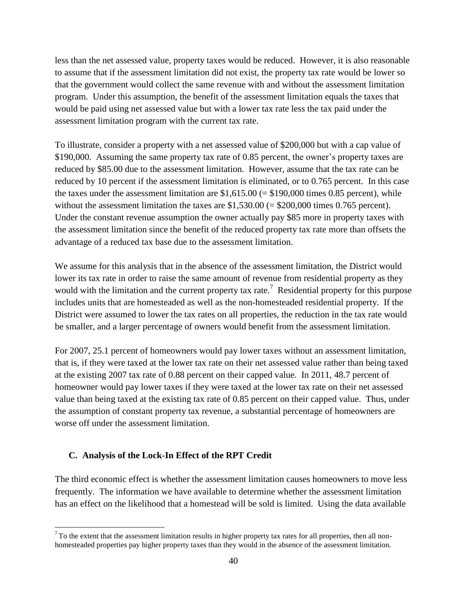less than the net assessed value, property taxes would be reduced. However, it is also reasonable to assume that if the assessment limitation did not exist, the property tax rate would be lower so that the government would collect the same revenue with and without the assessment limitation program. Under this assumption, the benefit of the assessment limitation equals the taxes that would be paid using net assessed value but with a lower tax rate less the tax paid under the assessment limitation program with the current tax rate.

To illustrate, consider a property with a net assessed value of \$200,000 but with a cap value of \$190,000. Assuming the same property tax rate of 0.85 percent, the owner's property taxes are reduced by \$85.00 due to the assessment limitation. However, assume that the tax rate can be reduced by 10 percent if the assessment limitation is eliminated, or to 0.765 percent. In this case the taxes under the assessment limitation are  $$1,615.00 (= $190,000$  times 0.85 percent), while without the assessment limitation the taxes are  $$1,530.00 (= $200,000$  times 0.765 percent). Under the constant revenue assumption the owner actually pay \$85 more in property taxes with the assessment limitation since the benefit of the reduced property tax rate more than offsets the advantage of a reduced tax base due to the assessment limitation.

We assume for this analysis that in the absence of the assessment limitation, the District would lower its tax rate in order to raise the same amount of revenue from residential property as they would with the limitation and the current property tax rate.<sup>7</sup> Residential property for this purpose includes units that are homesteaded as well as the non-homesteaded residential property. If the District were assumed to lower the tax rates on all properties, the reduction in the tax rate would be smaller, and a larger percentage of owners would benefit from the assessment limitation.

For 2007, 25.1 percent of homeowners would pay lower taxes without an assessment limitation, that is, if they were taxed at the lower tax rate on their net assessed value rather than being taxed at the existing 2007 tax rate of 0.88 percent on their capped value. In 2011, 48.7 percent of homeowner would pay lower taxes if they were taxed at the lower tax rate on their net assessed value than being taxed at the existing tax rate of 0.85 percent on their capped value. Thus, under the assumption of constant property tax revenue, a substantial percentage of homeowners are worse off under the assessment limitation.

## <span id="page-47-0"></span>**C. Analysis of the Lock-In Effect of the RPT Credit**

 $\overline{a}$ 

The third economic effect is whether the assessment limitation causes homeowners to move less frequently. The information we have available to determine whether the assessment limitation has an effect on the likelihood that a homestead will be sold is limited. Using the data available

 $7$ To the extent that the assessment limitation results in higher property tax rates for all properties, then all nonhomesteaded properties pay higher property taxes than they would in the absence of the assessment limitation.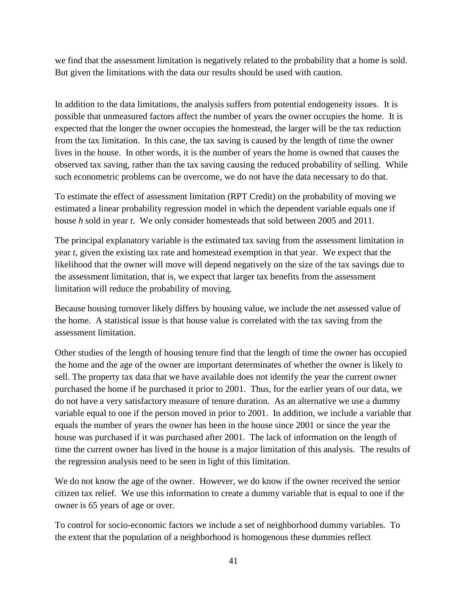we find that the assessment limitation is negatively related to the probability that a home is sold. But given the limitations with the data our results should be used with caution.

In addition to the data limitations, the analysis suffers from potential endogeneity issues. It is possible that unmeasured factors affect the number of years the owner occupies the home. It is expected that the longer the owner occupies the homestead, the larger will be the tax reduction from the tax limitation. In this case, the tax saving is caused by the length of time the owner lives in the house. In other words, it is the number of years the home is owned that causes the observed tax saving, rather than the tax saving causing the reduced probability of selling. While such econometric problems can be overcome, we do not have the data necessary to do that.

To estimate the effect of assessment limitation (RPT Credit) on the probability of moving we estimated a linear probability regression model in which the dependent variable equals one if house *h* sold in year *t*. We only consider homesteads that sold between 2005 and 2011.

The principal explanatory variable is the estimated tax saving from the assessment limitation in year *t*, given the existing tax rate and homestead exemption in that year. We expect that the likelihood that the owner will move will depend negatively on the size of the tax savings due to the assessment limitation, that is, we expect that larger tax benefits from the assessment limitation will reduce the probability of moving.

Because housing turnover likely differs by housing value, we include the net assessed value of the home. A statistical issue is that house value is correlated with the tax saving from the assessment limitation.

Other studies of the length of housing tenure find that the length of time the owner has occupied the home and the age of the owner are important determinates of whether the owner is likely to sell. The property tax data that we have available does not identify the year the current owner purchased the home if he purchased it prior to 2001. Thus, for the earlier years of our data, we do not have a very satisfactory measure of tenure duration. As an alternative we use a dummy variable equal to one if the person moved in prior to 2001. In addition, we include a variable that equals the number of years the owner has been in the house since 2001 or since the year the house was purchased if it was purchased after 2001. The lack of information on the length of time the current owner has lived in the house is a major limitation of this analysis. The results of the regression analysis need to be seen in light of this limitation.

We do not know the age of the owner. However, we do know if the owner received the senior citizen tax relief. We use this information to create a dummy variable that is equal to one if the owner is 65 years of age or over.

To control for socio-economic factors we include a set of neighborhood dummy variables. To the extent that the population of a neighborhood is homogenous these dummies reflect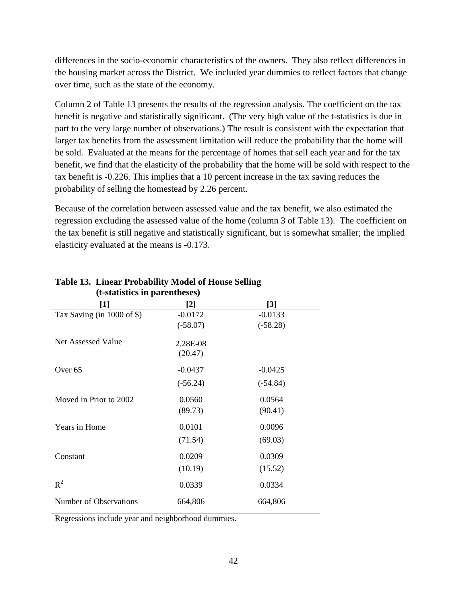differences in the socio-economic characteristics of the owners. They also reflect differences in the housing market across the District. We included year dummies to reflect factors that change over time, such as the state of the economy.

Column 2 of Table 13 presents the results of the regression analysis. The coefficient on the tax benefit is negative and statistically significant. (The very high value of the t-statistics is due in part to the very large number of observations.) The result is consistent with the expectation that larger tax benefits from the assessment limitation will reduce the probability that the home will be sold. Evaluated at the means for the percentage of homes that sell each year and for the tax benefit, we find that the elasticity of the probability that the home will be sold with respect to the tax benefit is -0.226. This implies that a 10 percent increase in the tax saving reduces the probability of selling the homestead by 2.26 percent.

Because of the correlation between assessed value and the tax benefit, we also estimated the regression excluding the assessed value of the home (column 3 of Table 13). The coefficient on the tax benefit is still negative and statistically significant, but is somewhat smaller; the implied elasticity evaluated at the means is -0.173.

| Table 15. Linear Probability Model of House Selling |            |  |  |  |  |
|-----------------------------------------------------|------------|--|--|--|--|
| (t-statistics in parentheses)                       |            |  |  |  |  |
| $[2]$                                               | [3]        |  |  |  |  |
| $-0.0172$                                           | $-0.0133$  |  |  |  |  |
| $(-58.07)$                                          | $(-58.28)$ |  |  |  |  |
| 2.28E-08                                            |            |  |  |  |  |
| (20.47)                                             |            |  |  |  |  |
| $-0.0437$                                           | $-0.0425$  |  |  |  |  |
| $(-56.24)$                                          | $(-54.84)$ |  |  |  |  |
| 0.0560                                              | 0.0564     |  |  |  |  |
| (89.73)                                             | (90.41)    |  |  |  |  |
| 0.0101                                              | 0.0096     |  |  |  |  |
| (71.54)                                             | (69.03)    |  |  |  |  |
| 0.0209                                              | 0.0309     |  |  |  |  |
| (10.19)                                             | (15.52)    |  |  |  |  |
| 0.0339                                              | 0.0334     |  |  |  |  |
| 664,806                                             | 664,806    |  |  |  |  |
|                                                     |            |  |  |  |  |

**Table 13. Linear Probability Model of House Selling**

Regressions include year and neighborhood dummies.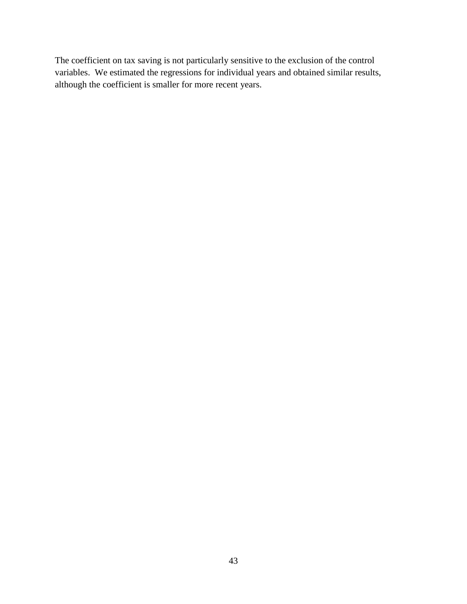The coefficient on tax saving is not particularly sensitive to the exclusion of the control variables. We estimated the regressions for individual years and obtained similar results, although the coefficient is smaller for more recent years.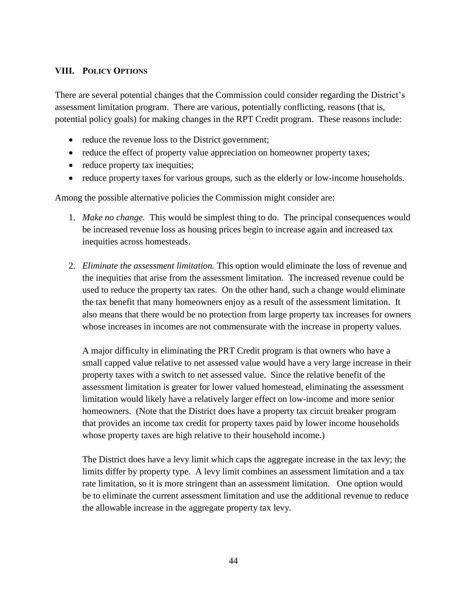## <span id="page-51-0"></span>**VIII. POLICY OPTIONS**

There are several potential changes that the Commission could consider regarding the District's assessment limitation program. There are various, potentially conflicting, reasons (that is, potential policy goals) for making changes in the RPT Credit program. These reasons include:

- reduce the revenue loss to the District government;
- reduce the effect of property value appreciation on homeowner property taxes;
- reduce property tax inequities;
- reduce property taxes for various groups, such as the elderly or low-income households.

Among the possible alternative policies the Commission might consider are:

- 1. *Make no change.* This would be simplest thing to do. The principal consequences would be increased revenue loss as housing prices begin to increase again and increased tax inequities across homesteads.
- 2. *Eliminate the assessment limitation.* This option would eliminate the loss of revenue and the inequities that arise from the assessment limitation. The increased revenue could be used to reduce the property tax rates. On the other hand, such a change would eliminate the tax benefit that many homeowners enjoy as a result of the assessment limitation. It also means that there would be no protection from large property tax increases for owners whose increases in incomes are not commensurate with the increase in property values.

A major difficulty in eliminating the PRT Credit program is that owners who have a small capped value relative to net assessed value would have a very large increase in their property taxes with a switch to net assessed value. Since the relative benefit of the assessment limitation is greater for lower valued homestead, eliminating the assessment limitation would likely have a relatively larger effect on low-income and more senior homeowners. (Note that the District does have a property tax circuit breaker program that provides an income tax credit for property taxes paid by lower income households whose property taxes are high relative to their household income.)

The District does have a levy limit which caps the aggregate increase in the tax levy; the limits differ by property type. A levy limit combines an assessment limitation and a tax rate limitation, so it is more stringent than an assessment limitation. One option would be to eliminate the current assessment limitation and use the additional revenue to reduce the allowable increase in the aggregate property tax levy.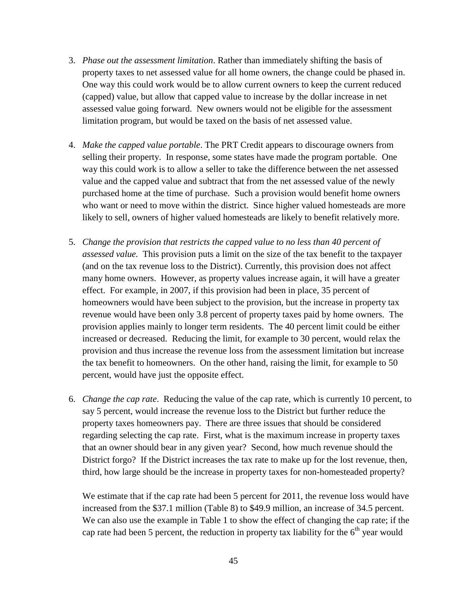- 3. *Phase out the assessment limitation*. Rather than immediately shifting the basis of property taxes to net assessed value for all home owners, the change could be phased in. One way this could work would be to allow current owners to keep the current reduced (capped) value, but allow that capped value to increase by the dollar increase in net assessed value going forward. New owners would not be eligible for the assessment limitation program, but would be taxed on the basis of net assessed value.
- 4. *Make the capped value portable*. The PRT Credit appears to discourage owners from selling their property. In response, some states have made the program portable. One way this could work is to allow a seller to take the difference between the net assessed value and the capped value and subtract that from the net assessed value of the newly purchased home at the time of purchase. Such a provision would benefit home owners who want or need to move within the district. Since higher valued homesteads are more likely to sell, owners of higher valued homesteads are likely to benefit relatively more.
- 5. *Change the provision that restricts the capped value to no less than 40 percent of assessed value.* This provision puts a limit on the size of the tax benefit to the taxpayer (and on the tax revenue loss to the District). Currently, this provision does not affect many home owners. However, as property values increase again, it will have a greater effect. For example, in 2007, if this provision had been in place, 35 percent of homeowners would have been subject to the provision, but the increase in property tax revenue would have been only 3.8 percent of property taxes paid by home owners. The provision applies mainly to longer term residents. The 40 percent limit could be either increased or decreased. Reducing the limit, for example to 30 percent, would relax the provision and thus increase the revenue loss from the assessment limitation but increase the tax benefit to homeowners. On the other hand, raising the limit, for example to 50 percent, would have just the opposite effect.
- 6. *Change the cap rate*. Reducing the value of the cap rate, which is currently 10 percent, to say 5 percent, would increase the revenue loss to the District but further reduce the property taxes homeowners pay. There are three issues that should be considered regarding selecting the cap rate. First, what is the maximum increase in property taxes that an owner should bear in any given year? Second, how much revenue should the District forgo? If the District increases the tax rate to make up for the lost revenue, then, third, how large should be the increase in property taxes for non-homesteaded property?

We estimate that if the cap rate had been 5 percent for 2011, the revenue loss would have increased from the \$37.1 million (Table 8) to \$49.9 million, an increase of 34.5 percent. We can also use the example in Table 1 to show the effect of changing the cap rate; if the cap rate had been 5 percent, the reduction in property tax liability for the  $6<sup>th</sup>$  year would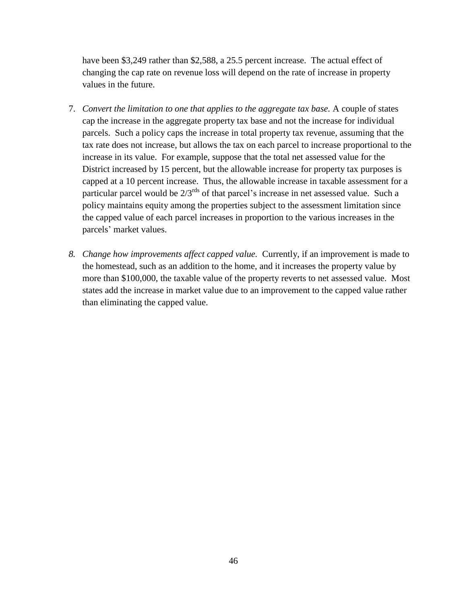have been \$3,249 rather than \$2,588, a 25.5 percent increase. The actual effect of changing the cap rate on revenue loss will depend on the rate of increase in property values in the future.

- 7. *Convert the limitation to one that applies to the aggregate tax base.* A couple of states cap the increase in the aggregate property tax base and not the increase for individual parcels. Such a policy caps the increase in total property tax revenue, assuming that the tax rate does not increase, but allows the tax on each parcel to increase proportional to the increase in its value. For example, suppose that the total net assessed value for the District increased by 15 percent, but the allowable increase for property tax purposes is capped at a 10 percent increase. Thus, the allowable increase in taxable assessment for a particular parcel would be  $2/3^{rds}$  of that parcel's increase in net assessed value. Such a policy maintains equity among the properties subject to the assessment limitation since the capped value of each parcel increases in proportion to the various increases in the parcels' market values.
- *8. Change how improvements affect capped value.* Currently, if an improvement is made to the homestead, such as an addition to the home, and it increases the property value by more than \$100,000, the taxable value of the property reverts to net assessed value. Most states add the increase in market value due to an improvement to the capped value rather than eliminating the capped value.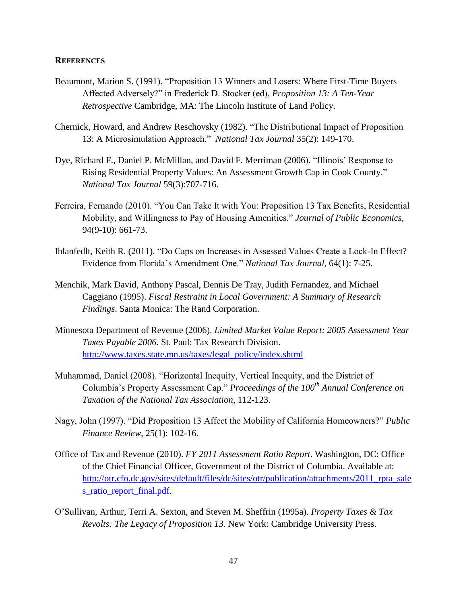#### <span id="page-54-0"></span>**REFERENCES**

- Beaumont, Marion S. (1991). "Proposition 13 Winners and Losers: Where First-Time Buyers Affected Adversely?" in Frederick D. Stocker (ed), *Proposition 13: A Ten-Year Retrospective* Cambridge, MA: The Lincoln Institute of Land Policy.
- Chernick, Howard, and Andrew Reschovsky (1982). "The Distributional Impact of Proposition 13: A Microsimulation Approach.‖ *National Tax Journal* 35(2): 149-170.
- Dye, Richard F., Daniel P. McMillan, and David F. Merriman (2006). "Illinois' Response to Rising Residential Property Values: An Assessment Growth Cap in Cook County." *National Tax Journal* 59(3):707-716.
- Ferreira, Fernando (2010). "You Can Take It with You: Proposition 13 Tax Benefits, Residential Mobility, and Willingness to Pay of Housing Amenities.‖ *Journal of Public Economics*, 94(9-10): 661-73.
- Ihlanfedlt, Keith R. (2011). "Do Caps on Increases in Assessed Values Create a Lock-In Effect? Evidence from Florida's Amendment One.‖ *National Tax Journal*, 64(1): 7-25.
- Menchik, Mark David, Anthony Pascal, Dennis De Tray, Judith Fernandez, and Michael Caggiano (1995). *Fiscal Restraint in Local Government: A Summary of Research Findings*. Santa Monica: The Rand Corporation.
- Minnesota Department of Revenue (2006). *Limited Market Value Report: 2005 Assessment Year Taxes Payable 2006.* St. Paul: Tax Research Division. [http://www.taxes.state.mn.us/taxes/legal\\_policy/index.shtml](http://www.taxes.state.mn.us/taxes/legal_policy/index.shtml)
- Muhammad, Daniel (2008). "Horizontal Inequity, Vertical Inequity, and the District of Columbia's Property Assessment Cap.‖ *Proceedings of the 100th Annual Conference on Taxation of the National Tax Association*, 112-123.
- Nagy, John (1997). "Did Proposition 13 Affect the Mobility of California Homeowners?" *Public Finance Review,* 25(1): 102-16.
- Office of Tax and Revenue (2010). *FY 2011 Assessment Ratio Report*. Washington, DC: Office of the Chief Financial Officer, Government of the District of Columbia. Available at: http://otr.cfo.dc.gov/sites/default/files/dc/sites/otr/publication/attachments/2011 rpta\_sale [s\\_ratio\\_report\\_final.pdf.](http://otr.cfo.dc.gov/sites/default/files/dc/sites/otr/publication/attachments/2011_rpta_sales_ratio_report_final.pdf)
- O'Sullivan, Arthur, Terri A. Sexton, and Steven M. Sheffrin (1995a). *Property Taxes & Tax Revolts: The Legacy of Proposition 13.* New York: Cambridge University Press.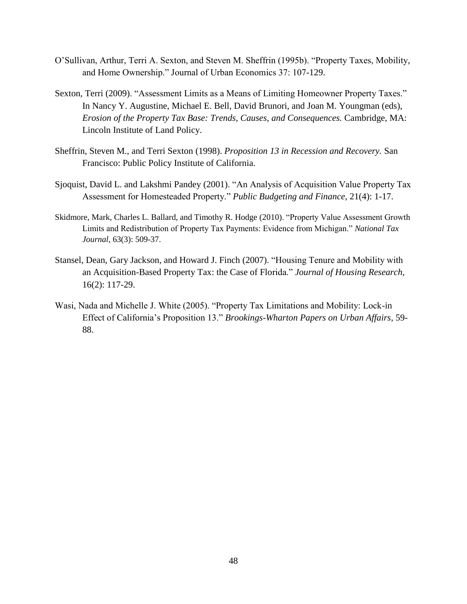- O'Sullivan, Arthur, Terri A. Sexton, and Steven M. Sheffrin (1995b). "Property Taxes, Mobility, and Home Ownership." Journal of Urban Economics 37: 107-129.
- Sexton, Terri (2009). "Assessment Limits as a Means of Limiting Homeowner Property Taxes." In Nancy Y. Augustine, Michael E. Bell, David Brunori, and Joan M. Youngman (eds), *Erosion of the Property Tax Base: Trends, Causes, and Consequences.* Cambridge, MA: Lincoln Institute of Land Policy.
- Sheffrin, Steven M., and Terri Sexton (1998). *Proposition 13 in Recession and Recovery.* San Francisco: Public Policy Institute of California.
- Sjoquist, David L. and Lakshmi Pandey (2001). "An Analysis of Acquisition Value Property Tax Assessment for Homesteaded Property." *Public Budgeting and Finance*, 21(4): 1-17.
- Skidmore, Mark, Charles L. Ballard, and Timothy R. Hodge (2010). "Property Value Assessment Growth Limits and Redistribution of Property Tax Payments: Evidence from Michigan." *National Tax Journal*, 63(3): 509-37.
- Stansel, Dean, Gary Jackson, and Howard J. Finch (2007). "Housing Tenure and Mobility with an Acquisition-Based Property Tax: the Case of Florida." *Journal of Housing Research*, 16(2): 117-29.
- Wasi, Nada and Michelle J. White (2005). "Property Tax Limitations and Mobility: Lock-in Effect of California's Proposition 13.‖ *Brookings-Wharton Papers on Urban Affairs*, 59- 88.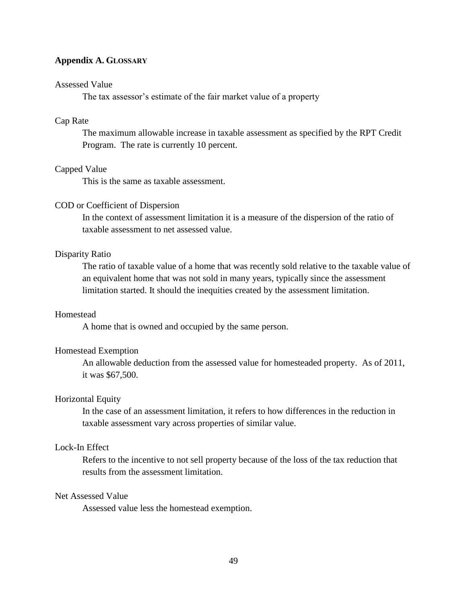#### <span id="page-56-0"></span>**Appendix A. GLOSSARY**

#### Assessed Value

The tax assessor's estimate of the fair market value of a property

#### Cap Rate

The maximum allowable increase in taxable assessment as specified by the RPT Credit Program. The rate is currently 10 percent.

#### Capped Value

This is the same as taxable assessment.

#### COD or Coefficient of Dispersion

In the context of assessment limitation it is a measure of the dispersion of the ratio of taxable assessment to net assessed value.

#### Disparity Ratio

The ratio of taxable value of a home that was recently sold relative to the taxable value of an equivalent home that was not sold in many years, typically since the assessment limitation started. It should the inequities created by the assessment limitation.

#### Homestead

A home that is owned and occupied by the same person.

#### Homestead Exemption

An allowable deduction from the assessed value for homesteaded property. As of 2011, it was \$67,500.

#### Horizontal Equity

In the case of an assessment limitation, it refers to how differences in the reduction in taxable assessment vary across properties of similar value.

#### Lock-In Effect

Refers to the incentive to not sell property because of the loss of the tax reduction that results from the assessment limitation.

#### Net Assessed Value

Assessed value less the homestead exemption.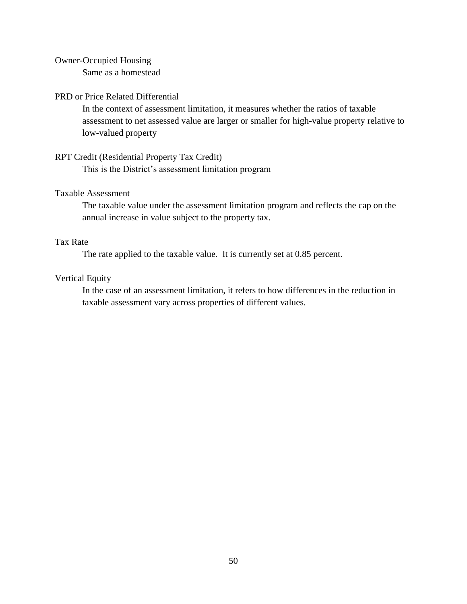#### Owner-Occupied Housing

Same as a homestead

#### PRD or Price Related Differential

In the context of assessment limitation, it measures whether the ratios of taxable assessment to net assessed value are larger or smaller for high-value property relative to low-valued property

#### RPT Credit (Residential Property Tax Credit)

This is the District's assessment limitation program

## Taxable Assessment

The taxable value under the assessment limitation program and reflects the cap on the annual increase in value subject to the property tax.

## Tax Rate

The rate applied to the taxable value. It is currently set at 0.85 percent.

## Vertical Equity

In the case of an assessment limitation, it refers to how differences in the reduction in taxable assessment vary across properties of different values.